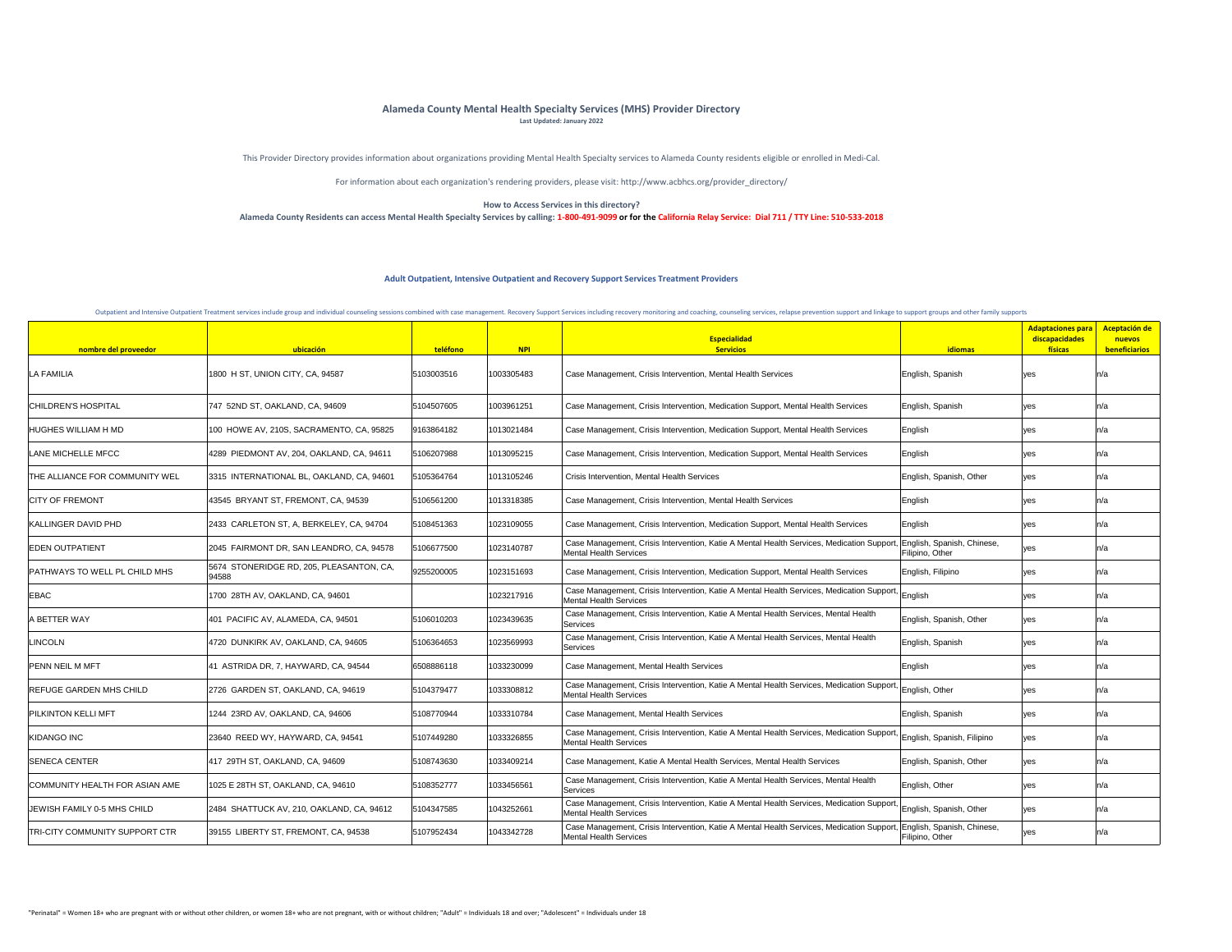| nombre del proveedor                  | ubicación                                         | teléfono   | <b>NPI</b> | <b>Especialidad</b><br><b>Servicios</b>                                                                                                               | <b>idiomas</b>             | <b>Adaptaciones para</b><br>discapacidades<br><b>físicas</b> | Aceptación de<br>nuevos<br>beneficiarios |
|---------------------------------------|---------------------------------------------------|------------|------------|-------------------------------------------------------------------------------------------------------------------------------------------------------|----------------------------|--------------------------------------------------------------|------------------------------------------|
| <b>LA FAMILIA</b>                     | 1800 H ST, UNION CITY, CA, 94587                  | 5103003516 | 1003305483 | Case Management, Crisis Intervention, Mental Health Services                                                                                          | English, Spanish           | yes                                                          |                                          |
| <b>CHILDREN'S HOSPITAL</b>            | 747 52ND ST, OAKLAND, CA, 94609                   | 5104507605 | 1003961251 | Case Management, Crisis Intervention, Medication Support, Mental Health Services                                                                      | English, Spanish           | yes                                                          |                                          |
| <b>HUGHES WILLIAM H MD</b>            | 100 HOWE AV, 210S, SACRAMENTO, CA, 95825          | 9163864182 | 1013021484 | Case Management, Crisis Intervention, Medication Support, Mental Health Services                                                                      | English                    | yes                                                          |                                          |
| LANE MICHELLE MFCC                    | 4289 PIEDMONT AV, 204, OAKLAND, CA, 94611         | 5106207988 | 1013095215 | Case Management, Crisis Intervention, Medication Support, Mental Health Services                                                                      | English                    | <b>Ves</b>                                                   |                                          |
| THE ALLIANCE FOR COMMUNITY WEL        | 3315 INTERNATIONAL BL, OAKLAND, CA, 94601         | 5105364764 | 1013105246 | <b>Crisis Intervention, Mental Health Services</b>                                                                                                    | English, Spanish, Other    | yes                                                          |                                          |
| <b>CITY OF FREMONT</b>                | 43545 BRYANT ST, FREMONT, CA, 94539               | 5106561200 | 1013318385 | Case Management, Crisis Intervention, Mental Health Services                                                                                          | English                    | ves                                                          |                                          |
| <b>KALLINGER DAVID PHD</b>            | 2433 CARLETON ST, A, BERKELEY, CA, 94704          | 5108451363 | 1023109055 | Case Management, Crisis Intervention, Medication Support, Mental Health Services                                                                      | English                    | <b>yes</b>                                                   |                                          |
| <b>EDEN OUTPATIENT</b>                | 2045 FAIRMONT DR, SAN LEANDRO, CA, 94578          | 5106677500 | 1023140787 | Case Management, Crisis Intervention, Katie A Mental Health Services, Medication Support, English, Spanish, Chinese,<br><b>Mental Health Services</b> | Filipino, Other            |                                                              | ll/d                                     |
| <b>PATHWAYS TO WELL PL CHILD MHS</b>  | 5674 STONERIDGE RD, 205, PLEASANTON, CA,<br>94588 | 9255200005 | 1023151693 | Case Management, Crisis Intervention, Medication Support, Mental Health Services                                                                      | English, Filipino          | yes                                                          |                                          |
| <b>EBAC</b>                           | 1700 28TH AV, OAKLAND, CA, 94601                  |            | 1023217916 | Case Management, Crisis Intervention, Katie A Mental Health Services, Medication Support, English<br><b>Mental Health Services</b>                    |                            | yes                                                          |                                          |
| A BETTER WAY                          | 401 PACIFIC AV, ALAMEDA, CA, 94501                | 5106010203 | 1023439635 | Case Management, Crisis Intervention, Katie A Mental Health Services, Mental Health<br>Services                                                       | English, Spanish, Other    | yes                                                          |                                          |
| <b>LINCOLN</b>                        | 4720 DUNKIRK AV, OAKLAND, CA, 94605               | 5106364653 | 1023569993 | Case Management, Crisis Intervention, Katie A Mental Health Services, Mental Health<br>Services                                                       | English, Spanish           | yes                                                          |                                          |
| <b>PENN NEIL M MFT</b>                | 41 ASTRIDA DR, 7, HAYWARD, CA, 94544              | 6508886118 | 1033230099 | Case Management, Mental Health Services                                                                                                               | English                    | ves                                                          |                                          |
| <b>REFUGE GARDEN MHS CHILD</b>        | 2726 GARDEN ST, OAKLAND, CA, 94619                | 5104379477 | 1033308812 | Case Management, Crisis Intervention, Katie A Mental Health Services, Medication Support, English, Other<br><b>Mental Health Services</b>             |                            | <b>yes</b>                                                   |                                          |
| <b>PILKINTON KELLI MFT</b>            | 1244 23RD AV, OAKLAND, CA, 94606                  | 5108770944 | 1033310784 | <b>Case Management, Mental Health Services</b>                                                                                                        | English, Spanish           | yes                                                          |                                          |
| KIDANGO INC                           | 23640 REED WY, HAYWARD, CA, 94541                 | 5107449280 | 1033326855 | Case Management, Crisis Intervention, Katie A Mental Health Services, Medication Support,<br><b>Mental Health Services</b>                            | English, Spanish, Filipino | yes                                                          |                                          |
| <b>SENECA CENTER</b>                  | 417 29TH ST, OAKLAND, CA, 94609                   | 5108743630 | 1033409214 | Case Management, Katie A Mental Health Services, Mental Health Services                                                                               | English, Spanish, Other    | yes                                                          |                                          |
| <b>COMMUNITY HEALTH FOR ASIAN AME</b> | 1025 E 28TH ST, OAKLAND, CA, 94610                | 5108352777 | 1033456561 | Case Management, Crisis Intervention, Katie A Mental Health Services, Mental Health<br>Services                                                       | English, Other             | yes                                                          |                                          |
| <b>JEWISH FAMILY 0-5 MHS CHILD</b>    | 2484 SHATTUCK AV, 210, OAKLAND, CA, 94612         | 5104347585 | 1043252661 | Case Management, Crisis Intervention, Katie A Mental Health Services, Medication Support,<br><b>Mental Health Services</b>                            | " English, Spanish, Other  | yes                                                          |                                          |
| TRI-CITY COMMUNITY SUPPORT CTR        | 39155 LIBERTY ST, FREMONT, CA, 94538              | 5107952434 | 1043342728 | Case Management, Crisis Intervention, Katie A Mental Health Services, Medication Support, English, Spanish, Chinese,<br><b>Mental Health Services</b> | <b>Filipino, Other</b>     |                                                              |                                          |

This Provider Directory provides information about organizations providing Mental Health Specialty services to Alameda County residents eligible or enrolled in Medi-Cal.

For information about each organization's rendering providers, please visit: http://www.acbhcs.org/provider\_directory/

## **How to Access Services in this directory? Alameda County Residents can access Mental Health Specialty Services by calling: 1-800-491-9099 or for the California Relay Service: Dial 711 / TTY Line: 510-533-2018**

## **Alameda County Mental Health Specialty Services (MHS) Provider Directory**

**Last Updated: January 2022**

|  |  | rt groups and other family supports |
|--|--|-------------------------------------|

## **Adult Outpatient, Intensive Outpatient and Recovery Support Services Treatment Providers**

Outpatient and Intensive Outpatient Treatment services include group and individual counseling sessions combined with case management. Recovery Support Services including recovery monitoring and coaching, counseling servic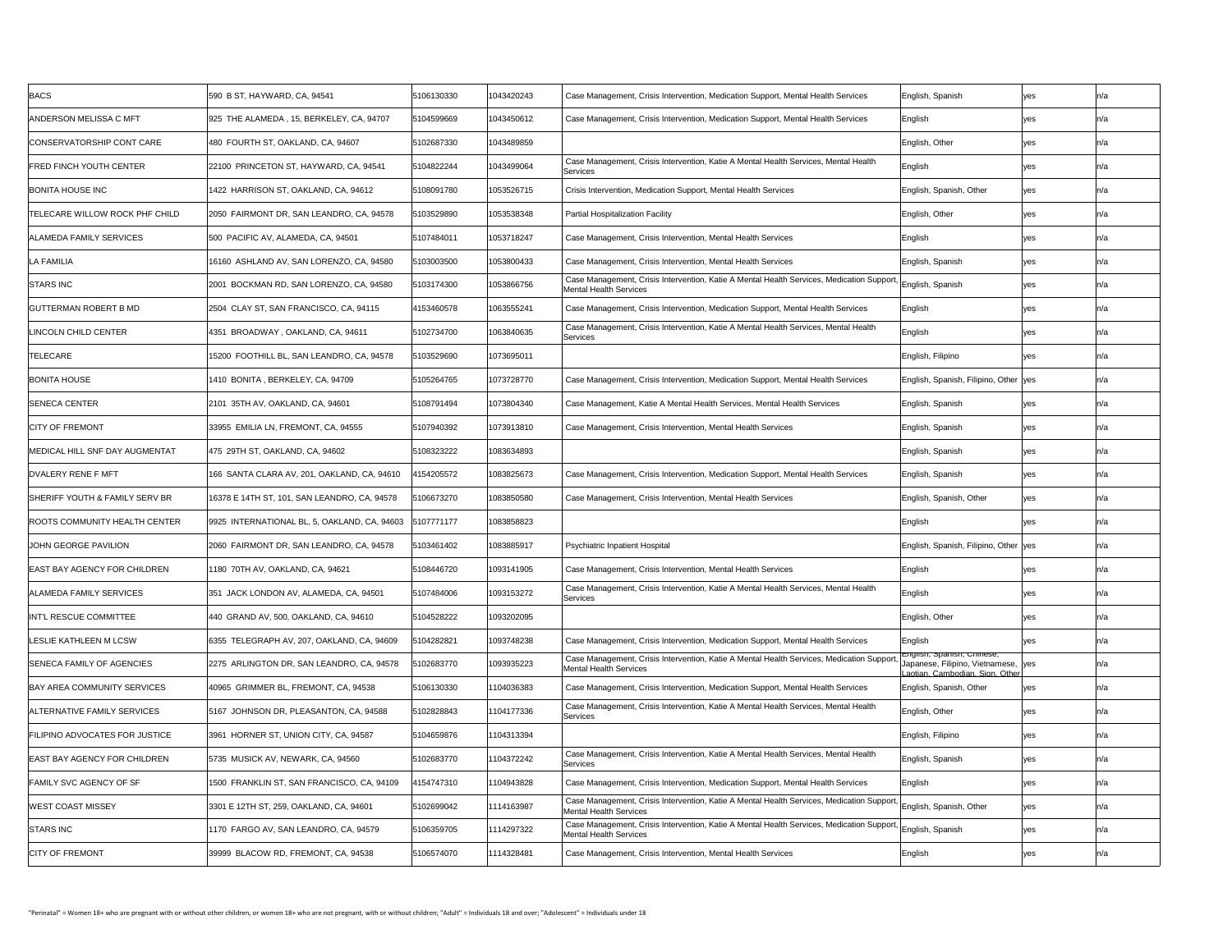| <b>BACS</b>                               | 590 B ST, HAYWARD, CA, 94541                 | 5106130330 | 1043420243 | Case Management, Crisis Intervention, Medication Support, Mental Health Services                                                            | English, Spanish                                                                                 | yes |      |
|-------------------------------------------|----------------------------------------------|------------|------------|---------------------------------------------------------------------------------------------------------------------------------------------|--------------------------------------------------------------------------------------------------|-----|------|
| <b>ANDERSON MELISSA C MFT</b>             | 925 THE ALAMEDA, 15, BERKELEY, CA, 94707     | 5104599669 | 1043450612 | Case Management, Crisis Intervention, Medication Support, Mental Health Services                                                            | English                                                                                          | yes |      |
| CONSERVATORSHIP CONT CARE                 | 480 FOURTH ST, OAKLAND, CA, 94607            | 5102687330 | 1043489859 |                                                                                                                                             | English, Other                                                                                   | yes |      |
| <b>FRED FINCH YOUTH CENTER</b>            | 22100 PRINCETON ST, HAYWARD, CA, 94541       | 5104822244 | 1043499064 | Case Management, Crisis Intervention, Katie A Mental Health Services, Mental Health<br>Services                                             | English                                                                                          | yes |      |
| <b>BONITA HOUSE INC</b>                   | 1422 HARRISON ST, OAKLAND, CA, 94612         | 5108091780 | 1053526715 | Crisis Intervention, Medication Support, Mental Health Services                                                                             | English, Spanish, Other                                                                          | yes |      |
| <b>TELECARE WILLOW ROCK PHF CHILD</b>     | 2050 FAIRMONT DR, SAN LEANDRO, CA, 94578     | 5103529890 | 1053538348 | <b>Partial Hospitalization Facility</b>                                                                                                     | English, Other                                                                                   | yes |      |
| <b>ALAMEDA FAMILY SERVICES</b>            | 500 PACIFIC AV, ALAMEDA, CA, 94501           | 5107484011 | 1053718247 | Case Management, Crisis Intervention, Mental Health Services                                                                                | English                                                                                          | yes |      |
| LA FAMILIA                                | 16160 ASHLAND AV, SAN LORENZO, CA, 94580     | 5103003500 | 1053800433 | Case Management, Crisis Intervention, Mental Health Services                                                                                | English, Spanish                                                                                 | yes |      |
| <b>STARS INC</b>                          | 2001 BOCKMAN RD, SAN LORENZO, CA, 94580      | 5103174300 | 1053866756 | Case Management, Crisis Intervention, Katie A Mental Health Services, Medication Support, English, Spanish<br><b>Mental Health Services</b> |                                                                                                  | yes |      |
| <b>GUTTERMAN ROBERT B MD</b>              | 2504 CLAY ST, SAN FRANCISCO, CA, 94115       | 4153460578 | 1063555241 | Case Management, Crisis Intervention, Medication Support, Mental Health Services                                                            | English                                                                                          |     |      |
| LINCOLN CHILD CENTER                      | 4351 BROADWAY, OAKLAND, CA, 94611            | 5102734700 | 1063840635 | Case Management, Crisis Intervention, Katie A Mental Health Services, Mental Health<br>Services                                             | English                                                                                          | yes |      |
| <b>TELECARE</b>                           | 15200 FOOTHILL BL, SAN LEANDRO, CA, 94578    | 5103529690 | 1073695011 |                                                                                                                                             | English, Filipino                                                                                | yes |      |
| <b>BONITA HOUSE</b>                       | 1410 BONITA, BERKELEY, CA, 94709             | 5105264765 | 1073728770 | Case Management, Crisis Intervention, Medication Support, Mental Health Services                                                            | English, Spanish, Filipino, Other yes                                                            |     |      |
| <b>SENECA CENTER</b>                      | 2101 35TH AV, OAKLAND, CA, 94601             | 5108791494 | 1073804340 | Case Management, Katie A Mental Health Services, Mental Health Services                                                                     | English, Spanish                                                                                 | yes |      |
| <b>CITY OF FREMONT</b>                    | 33955 EMILIA LN, FREMONT, CA, 94555          | 5107940392 | 1073913810 | Case Management, Crisis Intervention, Mental Health Services                                                                                | English, Spanish                                                                                 | yes |      |
| MEDICAL HILL SNF DAY AUGMENTAT            | 475 29TH ST, OAKLAND, CA, 94602              | 5108323222 | 1083634893 |                                                                                                                                             | English, Spanish                                                                                 | yes |      |
| <b>DVALERY RENE F MFT</b>                 | 166 SANTA CLARA AV, 201, OAKLAND, CA, 94610  | 4154205572 | 1083825673 | Case Management, Crisis Intervention, Medication Support, Mental Health Services                                                            | English, Spanish                                                                                 | yes |      |
| <b>SHERIFF YOUTH &amp; FAMILY SERV BR</b> | 16378 E 14TH ST, 101, SAN LEANDRO, CA, 94578 | 5106673270 | 1083850580 | Case Management, Crisis Intervention, Mental Health Services                                                                                | English, Spanish, Other                                                                          | yes |      |
| <b>ROOTS COMMUNITY HEALTH CENTER</b>      | 9925 INTERNATIONAL BL, 5, OAKLAND, CA, 94603 | 5107771177 | 1083858823 |                                                                                                                                             | English                                                                                          | yes |      |
| <b>JOHN GEORGE PAVILION</b>               | 2060 FAIRMONT DR, SAN LEANDRO, CA, 94578     | 5103461402 | 1083885917 | <b>Psychiatric Inpatient Hospital</b>                                                                                                       | English, Spanish, Filipino, Other yes                                                            |     | ln/a |
| <b>EAST BAY AGENCY FOR CHILDREN</b>       | 1180 70TH AV, OAKLAND, CA, 94621             | 5108446720 | 1093141905 | Case Management, Crisis Intervention, Mental Health Services                                                                                | English                                                                                          | yes |      |
| ALAMEDA FAMILY SERVICES                   | 351 JACK LONDON AV, ALAMEDA, CA, 94501       | 5107484006 | 1093153272 | Case Management, Crisis Intervention, Katie A Mental Health Services, Mental Health<br>Services                                             | English                                                                                          | yes |      |
| <b>INT'L RESCUE COMMITTEE</b>             | 440 GRAND AV, 500, OAKLAND, CA, 94610        | 5104528222 | 1093202095 |                                                                                                                                             | English, Other                                                                                   | yes |      |
| <b>LESLIE KATHLEEN M LCSW</b>             | 6355 TELEGRAPH AV, 207, OAKLAND, CA, 94609   | 5104282821 | 1093748238 | Case Management, Crisis Intervention, Medication Support, Mental Health Services                                                            | English                                                                                          | ves |      |
| <b>SENECA FAMILY OF AGENCIES</b>          | 2275 ARLINGTON DR, SAN LEANDRO, CA, 94578    | 5102683770 | 1093935223 | Case Management, Crisis Intervention, Katie A Mental Health Services, Medication Support,<br><b>Mental Health Services</b>                  | English, Spanish, Chinese,<br>Japanese, Filipino, Vietnamese, yes<br>aotian Camhodian Sign Other |     |      |
| <b>BAY AREA COMMUNITY SERVICES</b>        | 40965 GRIMMER BL, FREMONT, CA, 94538         | 5106130330 | 104036383  | Case Management, Crisis Intervention, Medication Support, Mental Health Services                                                            | English, Spanish, Other                                                                          | yes |      |
| ALTERNATIVE FAMILY SERVICES               | 5167 JOHNSON DR, PLEASANTON, CA, 94588       | 5102828843 | 104177336  | Case Management, Crisis Intervention, Katie A Mental Health Services, Mental Health<br>Services                                             | English, Other                                                                                   | yes |      |
| <b>FILIPINO ADVOCATES FOR JUSTICE</b>     | 3961 HORNER ST, UNION CITY, CA, 94587        | 5104659876 | 1104313394 |                                                                                                                                             | English, Filipino                                                                                | yes |      |
| <b>EAST BAY AGENCY FOR CHILDREN</b>       | 5735 MUSICK AV, NEWARK, CA, 94560            | 5102683770 | 1104372242 | Case Management, Crisis Intervention, Katie A Mental Health Services, Mental Health<br>Services                                             | English, Spanish                                                                                 | yes |      |
| <b>FAMILY SVC AGENCY OF SF</b>            | 1500 FRANKLIN ST, SAN FRANCISCO, CA, 94109   | 4154747310 | 1104943828 | Case Management, Crisis Intervention, Medication Support, Mental Health Services                                                            | English                                                                                          | yes |      |
| <b>WEST COAST MISSEY</b>                  | 3301 E 12TH ST, 259, OAKLAND, CA, 94601      | 5102699042 | 1114163987 | Case Management, Crisis Intervention, Katie A Mental Health Services, Medication Support,<br><b>Mental Health Services</b>                  | English, Spanish, Other                                                                          | yes |      |
| <b>STARS INC</b>                          | 1170 FARGO AV, SAN LEANDRO, CA, 94579        | 5106359705 | 1114297322 | Case Management, Crisis Intervention, Katie A Mental Health Services, Medication Support, English, Spanish<br><b>Mental Health Services</b> |                                                                                                  | yes |      |
| <b>CITY OF FREMONT</b>                    | 39999 BLACOW RD, FREMONT, CA, 94538          | 5106574070 | 1114328481 | Case Management, Crisis Intervention, Mental Health Services                                                                                | English                                                                                          | yes |      |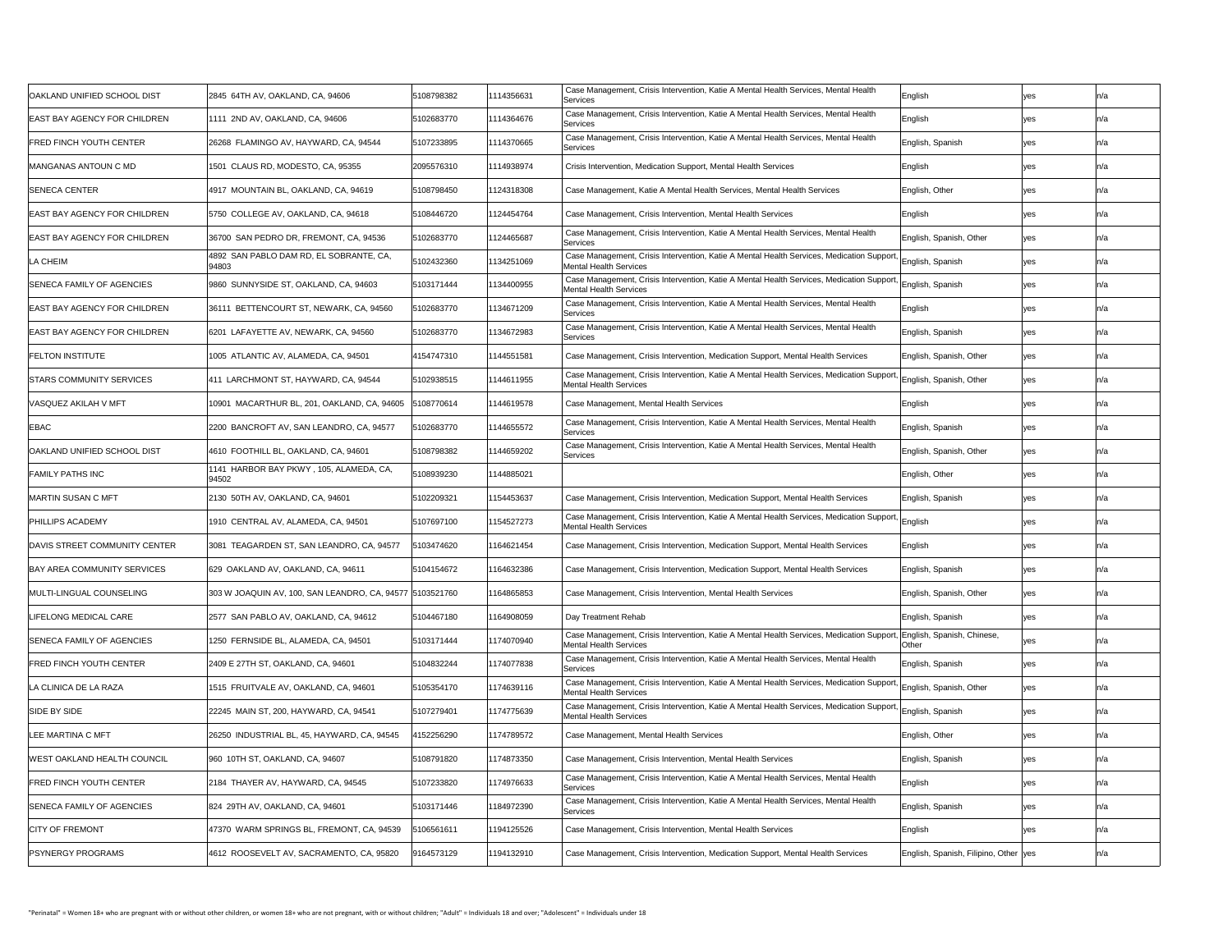| <b>OAKLAND UNIFIED SCHOOL DIST</b>   | 2845 64TH AV, OAKLAND, CA, 94606                         | 5108798382 | 1114356631 | Case Management, Crisis Intervention, Katie A Mental Health Services, Mental Health<br>Services                                                    | <b>IEnglish</b>                        | yes |     |
|--------------------------------------|----------------------------------------------------------|------------|------------|----------------------------------------------------------------------------------------------------------------------------------------------------|----------------------------------------|-----|-----|
| <b>EAST BAY AGENCY FOR CHILDREN</b>  | 1111 2ND AV, OAKLAND, CA, 94606                          | 5102683770 | 1114364676 | Case Management, Crisis Intervention, Katie A Mental Health Services, Mental Health<br>Services                                                    | English                                | yes | n/a |
| <b>FRED FINCH YOUTH CENTER</b>       | 26268 FLAMINGO AV, HAYWARD, CA, 94544                    | 5107233895 | 1114370665 | Case Management, Crisis Intervention, Katie A Mental Health Services, Mental Health<br>Services                                                    | English, Spanish                       | yes |     |
| <b>MANGANAS ANTOUN C MD</b>          | 1501 CLAUS RD, MODESTO, CA, 95355                        | 2095576310 | 1114938974 | Crisis Intervention, Medication Support, Mental Health Services                                                                                    | English                                | yes |     |
| <b>SENECA CENTER</b>                 | 4917 MOUNTAIN BL, OAKLAND, CA, 94619                     | 5108798450 | 1124318308 | Case Management, Katie A Mental Health Services, Mental Health Services                                                                            | English, Other                         | yes |     |
| <b>EAST BAY AGENCY FOR CHILDREN</b>  | 5750 COLLEGE AV, OAKLAND, CA, 94618                      | 5108446720 | 1124454764 | Case Management, Crisis Intervention, Mental Health Services                                                                                       | English                                | yes |     |
| <b>EAST BAY AGENCY FOR CHILDREN</b>  | 36700 SAN PEDRO DR, FREMONT, CA, 94536                   | 5102683770 | 1124465687 | Case Management, Crisis Intervention, Katie A Mental Health Services, Mental Health<br>Services                                                    | English, Spanish, Other                | yes |     |
| LA CHEIM                             | 4892 SAN PABLO DAM RD, EL SOBRANTE, CA,<br>94803         | 5102432360 | 1134251069 | Case Management, Crisis Intervention, Katie A Mental Health Services, Medication Support,<br><b>Mental Health Services</b>                         | ' English, Spanish                     | yes |     |
| <b>SENECA FAMILY OF AGENCIES</b>     | 9860 SUNNYSIDE ST, OAKLAND, CA, 94603                    | 5103171444 | 1134400955 | Case Management, Crisis Intervention, Katie A Mental Health Services, Medication Support, English, Spanish<br><b>Mental Health Services</b>        |                                        | yes |     |
| <b>EAST BAY AGENCY FOR CHILDREN</b>  | 36111 BETTENCOURT ST, NEWARK, CA, 94560                  | 5102683770 | 1134671209 | Case Management, Crisis Intervention, Katie A Mental Health Services, Mental Health<br>Services                                                    | English                                |     |     |
| <b>EAST BAY AGENCY FOR CHILDREN</b>  | 6201 LAFAYETTE AV, NEWARK, CA, 94560                     | 5102683770 | 1134672983 | Case Management, Crisis Intervention, Katie A Mental Health Services, Mental Health<br>Services                                                    | English, Spanish                       | yes |     |
| <b>FELTON INSTITUTE</b>              | 1005 ATLANTIC AV, ALAMEDA, CA, 94501                     | 4154747310 | 1144551581 | Case Management, Crisis Intervention, Medication Support, Mental Health Services                                                                   | English, Spanish, Other                | yes |     |
| <b>STARS COMMUNITY SERVICES</b>      | 411 LARCHMONT ST, HAYWARD, CA, 94544                     | 5102938515 | 1144611955 | Case Management, Crisis Intervention, Katie A Mental Health Services, Medication Support, English, Spanish, Other<br><b>Mental Health Services</b> |                                        | yes |     |
| VASQUEZ AKILAH V MFT                 | 10901 MACARTHUR BL, 201, OAKLAND, CA, 94605              | 5108770614 | 1144619578 | Case Management, Mental Health Services                                                                                                            | English                                | yes | n/a |
| <b>EBAC</b>                          | 2200 BANCROFT AV, SAN LEANDRO, CA, 94577                 | 5102683770 | 1144655572 | Case Management, Crisis Intervention, Katie A Mental Health Services, Mental Health<br>Services                                                    | English, Spanish                       | yes |     |
| <b>OAKLAND UNIFIED SCHOOL DIST</b>   | 4610 FOOTHILL BL, OAKLAND, CA, 94601                     | 5108798382 | 1144659202 | Case Management, Crisis Intervention, Katie A Mental Health Services, Mental Health<br>Services                                                    | English, Spanish, Other                | yes |     |
| <b>FAMILY PATHS INC</b>              | 1141 HARBOR BAY PKWY, 105, ALAMEDA, CA,<br>94502         | 5108939230 | 1144885021 |                                                                                                                                                    | English, Other                         | yes |     |
| <b>MARTIN SUSAN C MFT</b>            | 2130 50TH AV, OAKLAND, CA, 94601                         | 5102209321 | 1154453637 | Case Management, Crisis Intervention, Medication Support, Mental Health Services                                                                   | English, Spanish                       | yes |     |
| <b>PHILLIPS ACADEMY</b>              | 1910  CENTRAL AV, ALAMEDA, CA, 94501                     | 5107697100 | 1154527273 | Case Management, Crisis Intervention, Katie A Mental Health Services, Medication Support, English<br><b>Mental Health Services</b>                 |                                        | yes | n/a |
| <b>DAVIS STREET COMMUNITY CENTER</b> | TEAGARDEN ST, SAN LEANDRO, CA, 94577                     | 5103474620 | 164621454  | Case Management, Crisis Intervention, Medication Support, Mental Health Services                                                                   | English                                | ves |     |
| <b>BAY AREA COMMUNITY SERVICES</b>   | 629 OAKLAND AV, OAKLAND, CA, 94611                       | 5104154672 | 164632386  | Case Management, Crisis Intervention, Medication Support, Mental Health Services                                                                   | English, Spanish                       | yes |     |
| MULTI-LINGUAL COUNSELING             | 303 W JOAQUIN AV, 100, SAN LEANDRO, CA, 94577 5103521760 |            | 164865853  | Case Management, Crisis Intervention, Mental Health Services                                                                                       | English, Spanish, Other                | yes |     |
| LIFELONG MEDICAL CARE                | 2577 SAN PABLO AV, OAKLAND, CA, 94612                    | 5104467180 | 164908059  | Day Treatment Rehab                                                                                                                                | English, Spanish                       | yes |     |
| <b>SENECA FAMILY OF AGENCIES</b>     | 1250 FERNSIDE BL, ALAMEDA, CA, 94501                     | 5103171444 | 1174070940 | Case Management, Crisis Intervention, Katie A Mental Health Services, Medication Support,<br><b>Mental Health Services</b>                         | , English, Spanish, Chinese,<br>Other  | yes |     |
| <b>FRED FINCH YOUTH CENTER</b>       | 2409 E 27TH ST, OAKLAND, CA, 94601                       | 5104832244 | 1174077838 | Case Management, Crisis Intervention, Katie A Mental Health Services, Mental Health<br>Services                                                    | English, Spanish                       | yes |     |
| LA CLINICA DE LA RAZA                | 1515 FRUITVALE AV, OAKLAND, CA, 94601                    | 5105354170 | 1174639116 | Case Management, Crisis Intervention, Katie A Mental Health Services, Medication Support,<br><b>Mental Health Services</b>                         | English, Spanish, Other                | yes |     |
| <b>SIDE BY SIDE</b>                  | 22245 MAIN ST, 200, HAYWARD, CA, 94541                   | 5107279401 | 1174775639 | Case Management, Crisis Intervention, Katie A Mental Health Services, Medication Support, English, Spanish<br><b>Mental Health Services</b>        |                                        | yes |     |
| <b>ILEE MARTINA C MFT</b>            | 26250 INDUSTRIAL BL, 45, HAYWARD, CA, 94545              | 4152256290 | 1174789572 | Case Management, Mental Health Services                                                                                                            | English, Other                         | yes |     |
| WEST OAKLAND HEALTH COUNCIL          | 960 10TH ST, OAKLAND, CA, 94607                          | 5108791820 | 1174873350 | Case Management, Crisis Intervention, Mental Health Services                                                                                       | English, Spanish                       | yes |     |
| <b>FRED FINCH YOUTH CENTER</b>       | 2184 THAYER AV, HAYWARD, CA, 94545                       | 5107233820 | 1174976633 | Case Management, Crisis Intervention, Katie A Mental Health Services, Mental Health<br>Services                                                    | English                                | yes | n/a |
| <b>SENECA FAMILY OF AGENCIES</b>     | 824 29TH AV, OAKLAND, CA, 94601                          | 5103171446 | 184972390  | Case Management, Crisis Intervention, Katie A Mental Health Services, Mental Health<br>Services                                                    | English, Spanish                       | yes |     |
| <b>CITY OF FREMONT</b>               | 47370 WARM SPRINGS BL, FREMONT, CA, 94539                | 5106561611 | 1194125526 | Case Management, Crisis Intervention, Mental Health Services                                                                                       | English                                | yes |     |
| <b>PSYNERGY PROGRAMS</b>             | 4612 ROOSEVELT AV, SACRAMENTO, CA, 95820                 | 9164573129 | 1194132910 | Case Management, Crisis Intervention, Medication Support, Mental Health Services                                                                   | English, Spanish, Filipino, Other  yes |     |     |
|                                      |                                                          |            |            |                                                                                                                                                    |                                        |     |     |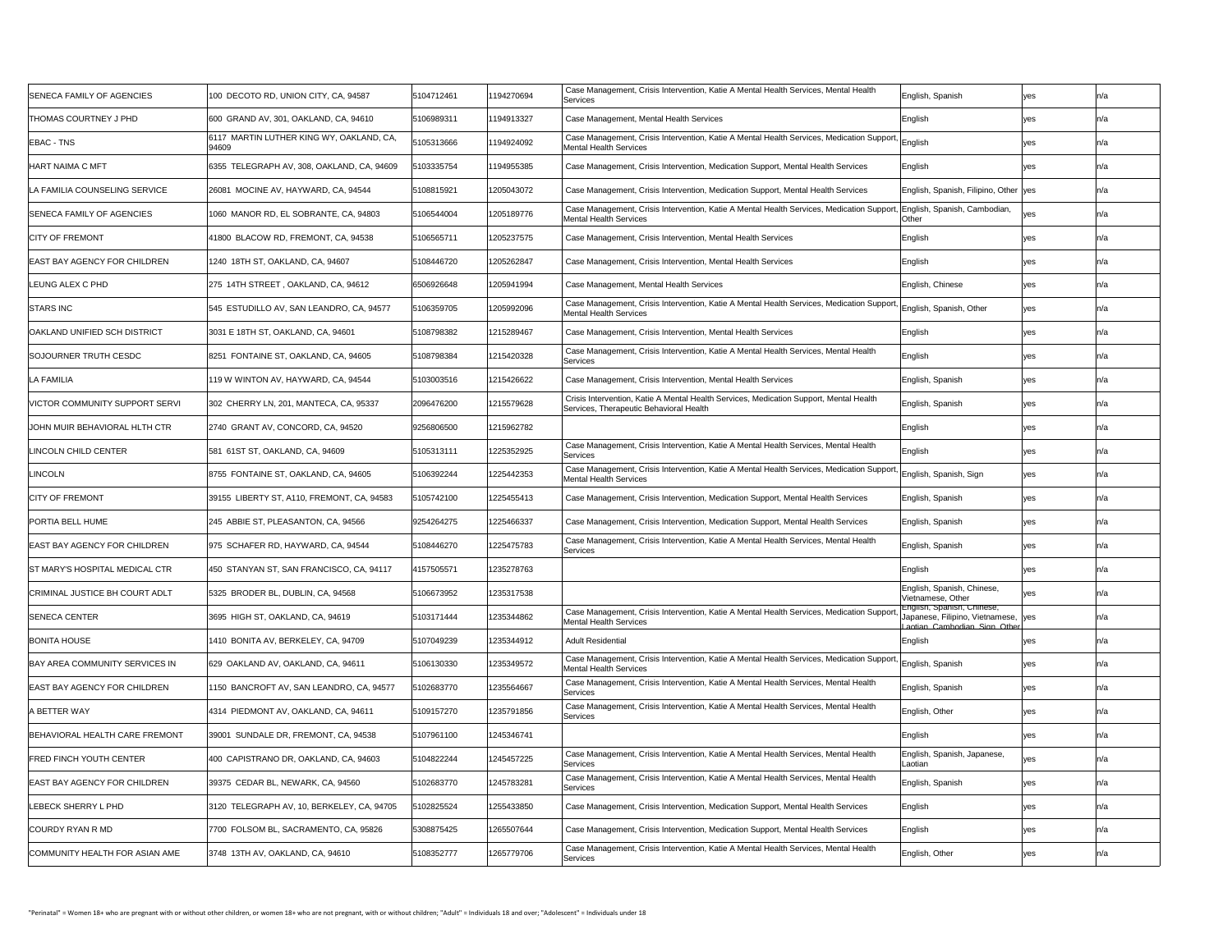| <b>SENECA FAMILY OF AGENCIES</b>      | 100 DECOTO RD, UNION CITY, CA, 94587              | 5104712461 | 194270694  | Case Management, Crisis Intervention, Katie A Mental Health Services, Mental Health<br>Services                                                    | English, Spanish                                                                                  | yes | ln/a |
|---------------------------------------|---------------------------------------------------|------------|------------|----------------------------------------------------------------------------------------------------------------------------------------------------|---------------------------------------------------------------------------------------------------|-----|------|
| <b>THOMAS COURTNEY J PHD</b>          | 600 GRAND AV, 301, OAKLAND, CA, 94610             | 5106989311 | 194913327  | Case Management, Mental Health Services                                                                                                            | English                                                                                           | yes |      |
| <b>EBAC - TNS</b>                     | 6117 MARTIN LUTHER KING WY, OAKLAND, CA,<br>94609 | 5105313666 | 194924092  | Case Management, Crisis Intervention, Katie A Mental Health Services, Medication Support, English<br><b>Mental Health Services</b>                 |                                                                                                   | yes |      |
| <b>HART NAIMA C MFT</b>               | 6355 TELEGRAPH AV, 308, OAKLAND, CA, 94609        | 5103335754 | 194955385  | Case Management, Crisis Intervention, Medication Support, Mental Health Services                                                                   | $\mathsf{English}$                                                                                | yes |      |
| LA FAMILIA COUNSELING SERVICE         | 26081 MOCINE AV, HAYWARD, CA, 94544               | 5108815921 | 1205043072 | Case Management, Crisis Intervention, Medication Support, Mental Health Services                                                                   | English, Spanish, Filipino, Other yes                                                             |     |      |
| <b>SENECA FAMILY OF AGENCIES</b>      | 1060 MANOR RD, EL SOBRANTE, CA, 94803             | 5106544004 | 1205189776 | Case Management, Crisis Intervention, Katie A Mental Health Services, Medication Support,<br><b>Mental Health Services</b>                         | English, Spanish, Cambodian,<br>Other                                                             | yes |      |
| <b>CITY OF FREMONT</b>                | 41800 BLACOW RD, FREMONT, CA, 94538               | 5106565711 | 1205237575 | Case Management, Crisis Intervention, Mental Health Services                                                                                       | English                                                                                           | yes |      |
| <b>EAST BAY AGENCY FOR CHILDREN</b>   | 1240 18TH ST, OAKLAND, CA, 94607                  | 5108446720 | 1205262847 | Case Management, Crisis Intervention, Mental Health Services                                                                                       | English                                                                                           | ves |      |
| LEUNG ALEX C PHD                      | 275 14TH STREET, OAKLAND, CA, 94612               | 6506926648 | 1205941994 | Case Management, Mental Health Services                                                                                                            | English, Chinese                                                                                  | yes |      |
| <b>STARS INC</b>                      | 545 ESTUDILLO AV, SAN LEANDRO, CA, 94577          | 5106359705 | 1205992096 | Case Management, Crisis Intervention, Katie A Mental Health Services, Medication Support, English, Spanish, Other<br><b>Mental Health Services</b> |                                                                                                   | ves |      |
| <b>OAKLAND UNIFIED SCH DISTRICT</b>   | 3031 E 18TH ST, OAKLAND, CA, 94601                | 5108798382 | 1215289467 | Case Management, Crisis Intervention, Mental Health Services                                                                                       | English                                                                                           | yes |      |
| <b>SOJOURNER TRUTH CESDC</b>          | 8251 FONTAINE ST, OAKLAND, CA, 94605              | 5108798384 | 1215420328 | Case Management, Crisis Intervention, Katie A Mental Health Services, Mental Health<br>Services                                                    | English                                                                                           | yes |      |
| <b>LA FAMILIA</b>                     | 119 W WINTON AV, HAYWARD, CA, 94544               | 5103003516 | 1215426622 | Case Management, Crisis Intervention, Mental Health Services                                                                                       | English, Spanish                                                                                  | yes |      |
| VICTOR COMMUNITY SUPPORT SERVI        | 302 CHERRY LN, 201, MANTECA, CA, 95337            | 2096476200 | 1215579628 | Crisis Intervention, Katie A Mental Health Services, Medication Support, Mental Health<br>Services, Therapeutic Behavioral Health                  | English, Spanish                                                                                  | yes |      |
| JOHN MUIR BEHAVIORAL HLTH CTR         | 2740 GRANT AV, CONCORD, CA, 94520                 | 9256806500 | 1215962782 |                                                                                                                                                    | English                                                                                           | yes |      |
| LINCOLN CHILD CENTER                  | 581 61ST ST, OAKLAND, CA, 94609                   | 5105313111 | 1225352925 | Case Management, Crisis Intervention, Katie A Mental Health Services, Mental Health<br>Services                                                    | English                                                                                           | yes |      |
| LINCOLN                               | 8755 FONTAINE ST, OAKLAND, CA, 94605              | 5106392244 | 1225442353 | Case Management, Crisis Intervention, Katie A Mental Health Services, Medication Support,<br><b>Mental Health Services</b>                         | English, Spanish, Sign                                                                            | yes |      |
| <b>CITY OF FREMONT</b>                | 39155 LIBERTY ST, A110, FREMONT, CA, 94583        | 5105742100 | 1225455413 | Case Management, Crisis Intervention, Medication Support, Mental Health Services                                                                   | English, Spanish                                                                                  | yes |      |
| <b>PORTIA BELL HUME</b>               | 245 ABBIE ST, PLEASANTON, CA, 94566               | 9254264275 | 1225466337 | Case Management, Crisis Intervention, Medication Support, Mental Health Services                                                                   | English, Spanish                                                                                  | yes |      |
| <b>EAST BAY AGENCY FOR CHILDREN</b>   | 975 SCHAFER RD, HAYWARD, CA, 94544                | 5108446270 | 1225475783 | Case Management, Crisis Intervention, Katie A Mental Health Services, Mental Health<br>Services                                                    | English, Spanish                                                                                  | yes |      |
| <b>ST MARY'S HOSPITAL MEDICAL CTR</b> | 450 STANYAN ST, SAN FRANCISCO, CA, 94117          | 4157505571 | 1235278763 |                                                                                                                                                    | English                                                                                           | yes |      |
| <b>CRIMINAL JUSTICE BH COURT ADLT</b> | 5325 BRODER BL, DUBLIN, CA, 94568                 | 5106673952 | 1235317538 |                                                                                                                                                    | English, Spanish, Chinese,<br>Vietnamese, Other                                                   |     |      |
| <b>SENECA CENTER</b>                  | 3695 HIGH ST, OAKLAND, CA, 94619                  | 5103171444 | 1235344862 | Case Management, Crisis Intervention, Katie A Mental Health Services, Medication Support,<br><b>Mental Health Services</b>                         | English, Spanish, Chinese,<br>Japanese, Filipino, Vietnamese, Ves<br>Laotian Cambodian Sign Other |     |      |
| <b>BONITA HOUSE</b>                   | 1410 BONITA AV, BERKELEY, CA, 94709               | 5107049239 | 1235344912 | <b>Adult Residential</b>                                                                                                                           | English                                                                                           |     |      |
| <b>BAY AREA COMMUNITY SERVICES IN</b> | 629 OAKLAND AV, OAKLAND, CA, 94611                | 5106130330 | 1235349572 | Case Management, Crisis Intervention, Katie A Mental Health Services, Medication Support,<br><b>Mental Health Services</b>                         | English, Spanish                                                                                  | yes |      |
| <b>EAST BAY AGENCY FOR CHILDREN</b>   | 1150 BANCROFT AV, SAN LEANDRO, CA, 94577          | 5102683770 | 1235564667 | Case Management, Crisis Intervention, Katie A Mental Health Services, Mental Health<br><b>Services</b>                                             | English, Spanish                                                                                  | yes |      |
| A BETTER WAY                          | 4314 PIEDMONT AV, OAKLAND, CA, 94611              | 5109157270 | 1235791856 | Case Management, Crisis Intervention, Katie A Mental Health Services, Mental Health<br>Services                                                    | English, Other                                                                                    | yes |      |
| BEHAVIORAL HEALTH CARE FREMONT        | 39001 SUNDALE DR, FREMONT, CA, 94538              | 5107961100 | 1245346741 |                                                                                                                                                    | English                                                                                           | ves |      |
| <b>FRED FINCH YOUTH CENTER</b>        | 400 CAPISTRANO DR, OAKLAND, CA, 94603             | 5104822244 | 1245457225 | Case Management, Crisis Intervention, Katie A Mental Health Services, Mental Health<br>Services                                                    | English, Spanish, Japanese,<br>Laotian                                                            | ves |      |
| <b>EAST BAY AGENCY FOR CHILDREN</b>   | 39375 CEDAR BL, NEWARK, CA, 94560                 | 5102683770 | 1245783281 | Case Management, Crisis Intervention, Katie A Mental Health Services, Mental Health<br>Services                                                    | English, Spanish                                                                                  | yes |      |
| LEBECK SHERRY L PHD                   | 3120 TELEGRAPH AV, 10, BERKELEY, CA, 94705        | 5102825524 | 1255433850 | Case Management, Crisis Intervention, Medication Support, Mental Health Services                                                                   | English                                                                                           | yes |      |
| COURDY RYAN R MD                      | 7700 FOLSOM BL, SACRAMENTO, CA, 95826             | 5308875425 | 1265507644 | Case Management, Crisis Intervention, Medication Support, Mental Health Services                                                                   | English                                                                                           | yes |      |
| COMMUNITY HEALTH FOR ASIAN AME        | 3748 13TH AV, OAKLAND, CA, 94610                  | 5108352777 | 1265779706 | Case Management, Crisis Intervention, Katie A Mental Health Services, Mental Health<br>Services                                                    | English, Other                                                                                    | yes |      |
|                                       |                                                   |            |            |                                                                                                                                                    |                                                                                                   |     |      |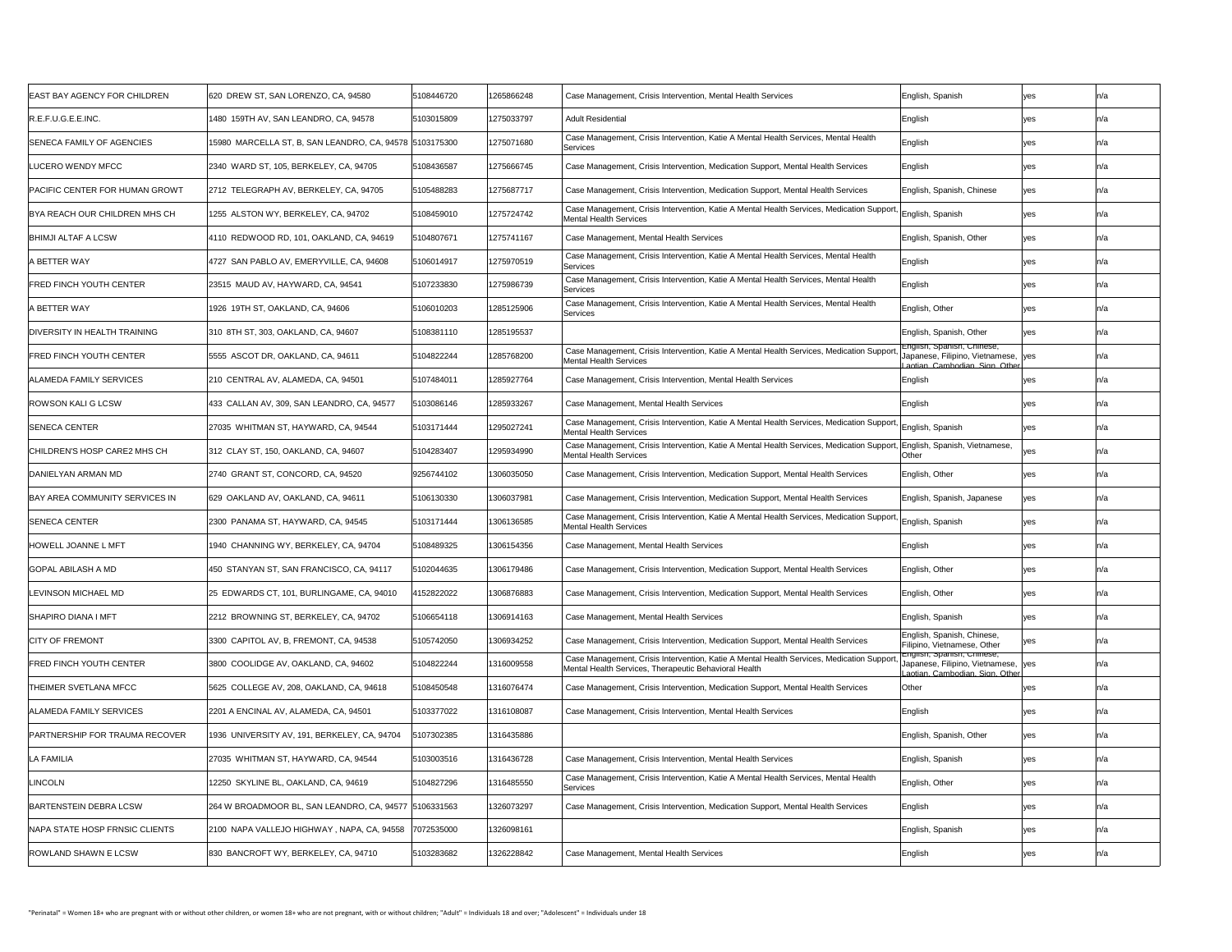| <b>EAST BAY AGENCY FOR CHILDREN</b>   | 620 DREW ST, SAN LORENZO, CA, 94580                     | 5108446720 | 1265866248 | Case Management, Crisis Intervention, Mental Health Services                                                                                             | English, Spanish                                                                                   | yes        |      |
|---------------------------------------|---------------------------------------------------------|------------|------------|----------------------------------------------------------------------------------------------------------------------------------------------------------|----------------------------------------------------------------------------------------------------|------------|------|
| R.E.F.U.G.E.E.INC.                    | 1480 159TH AV, SAN LEANDRO, CA, 94578                   | 5103015809 | 1275033797 | <b>Adult Residential</b>                                                                                                                                 | English                                                                                            | yes        |      |
| <b>SENECA FAMILY OF AGENCIES</b>      | 15980 MARCELLA ST, B, SAN LEANDRO, CA, 94578 5103175300 |            | 1275071680 | Case Management, Crisis Intervention, Katie A Mental Health Services, Mental Health<br>Services                                                          | English                                                                                            | yes        |      |
| LUCERO WENDY MFCC                     | 2340 WARD ST, 105, BERKELEY, CA, 94705                  | 5108436587 | 1275666745 | Case Management, Crisis Intervention, Medication Support, Mental Health Services                                                                         | English                                                                                            | yes        |      |
| <b>PACIFIC CENTER FOR HUMAN GROWT</b> | 2712 TELEGRAPH AV, BERKELEY, CA, 94705                  | 5105488283 | 1275687717 | Case Management, Crisis Intervention, Medication Support, Mental Health Services                                                                         | English, Spanish, Chinese                                                                          | yes        |      |
| BYA REACH OUR CHILDREN MHS CH         | 1255 ALSTON WY, BERKELEY, CA, 94702                     | 5108459010 | 1275724742 | Case Management, Crisis Intervention, Katie A Mental Health Services, Medication Support, English, Spanish<br><b>Mental Health Services</b>              |                                                                                                    | yes        |      |
| <b>BHIMJI ALTAF A LCSW</b>            | 4110 REDWOOD RD, 101, OAKLAND, CA, 94619                | 5104807671 | 1275741167 | Case Management, Mental Health Services                                                                                                                  | English, Spanish, Other                                                                            | yes        |      |
| A BETTER WAY                          | 4727 SAN PABLO AV, EMERYVILLE, CA, 94608                | 5106014917 | 1275970519 | Case Management, Crisis Intervention, Katie A Mental Health Services, Mental Health<br>Services                                                          | English                                                                                            | yes        |      |
| <b>FRED FINCH YOUTH CENTER</b>        | 23515 MAUD AV, HAYWARD, CA, 94541                       | 5107233830 | 1275986739 | Case Management, Crisis Intervention, Katie A Mental Health Services, Mental Health<br>Services                                                          | English                                                                                            | yes        |      |
| A BETTER WAY                          | 1926 19TH ST, OAKLAND, CA, 94606                        | 5106010203 | 1285125906 | Case Management, Crisis Intervention, Katie A Mental Health Services, Mental Health<br><b>Services</b>                                                   | English, Other                                                                                     |            |      |
| <b>DIVERSITY IN HEALTH TRAINING</b>   | 310 8TH ST, 303, OAKLAND, CA, 94607                     | 5108381110 | 1285195537 |                                                                                                                                                          | English, Spanish, Other                                                                            | yes        |      |
| <b>FRED FINCH YOUTH CENTER</b>        | 5555 ASCOT DR, OAKLAND, CA, 94611                       | 5104822244 | 1285768200 | Case Management, Crisis Intervention, Katie A Mental Health Services, Medication Support<br><b>Mental Health Services</b>                                | English, Spanish, Chinese,<br>Japanese, Filipino, Vietnamese, yes<br>aotian Cambodian Sign Other   |            |      |
| <b>ALAMEDA FAMILY SERVICES</b>        | 210 CENTRAL AV, ALAMEDA, CA, 94501                      | 5107484011 | 1285927764 | Case Management, Crisis Intervention, Mental Health Services                                                                                             | English                                                                                            |            |      |
| <b>ROWSON KALI G LCSW</b>             | 433 CALLAN AV, 309, SAN LEANDRO, CA, 94577              | 5103086146 | 1285933267 | Case Management, Mental Health Services                                                                                                                  | English                                                                                            | ves        |      |
| <b>SENECA CENTER</b>                  | 27035 WHITMAN ST, HAYWARD, CA, 94544                    | 5103171444 | 1295027241 | Case Management, Crisis Intervention, Katie A Mental Health Services, Medication Support, English, Spanish<br><b>Mental Health Services</b>              |                                                                                                    | yes        |      |
| CHILDREN'S HOSP CARE2 MHS CH          | 312 CLAY ST, 150, OAKLAND, CA, 94607                    | 5104283407 | 1295934990 | Case Management, Crisis Intervention, Katie A Mental Health Services, Medication Support, English, Spanish, Vietnamese,<br><b>Mental Health Services</b> | Other                                                                                              | <b>ves</b> |      |
| DANIELYAN ARMAN MD                    | 2740 GRANT ST, CONCORD, CA, 94520                       | 9256744102 | 1306035050 | Case Management, Crisis Intervention, Medication Support, Mental Health Services                                                                         | English, Other                                                                                     | yes        |      |
| <b>BAY AREA COMMUNITY SERVICES IN</b> | 629 OAKLAND AV, OAKLAND, CA, 94611                      | 5106130330 | 1306037981 | Case Management, Crisis Intervention, Medication Support, Mental Health Services                                                                         | English, Spanish, Japanese                                                                         | yes        |      |
| <b>SENECA CENTER</b>                  | 2300 PANAMA ST, HAYWARD, CA, 94545                      | 5103171444 | 1306136585 | Case Management, Crisis Intervention, Katie A Mental Health Services, Medication Support, English, Spanish<br><b>Mental Health Services</b>              |                                                                                                    | yes        |      |
| <b>HOWELL JOANNE L MFT</b>            | 1940 CHANNING WY, BERKELEY, CA, 94704                   | 5108489325 | 1306154356 | Case Management, Mental Health Services                                                                                                                  | English                                                                                            | yes        | In/a |
| <b>GOPAL ABILASH A MD</b>             | 450 STANYAN ST, SAN FRANCISCO, CA, 94117                | 5102044635 | 1306179486 | Case Management, Crisis Intervention, Medication Support, Mental Health Services                                                                         | English, Other                                                                                     | yes        |      |
| <b>LEVINSON MICHAEL MD</b>            | 25 EDWARDS CT, 101, BURLINGAME, CA, 94010               | 4152822022 | 1306876883 | Case Management, Crisis Intervention, Medication Support, Mental Health Services                                                                         | English, Other                                                                                     | yes        |      |
| <b>SHAPIRO DIANA I MFT</b>            | 2212 BROWNING ST, BERKELEY, CA, 94702                   | 5106654118 | 1306914163 | Case Management, Mental Health Services                                                                                                                  | English, Spanish                                                                                   | yes        |      |
| <b>CITY OF FREMONT</b>                | 3300 CAPITOL AV, B, FREMONT, CA, 94538                  | 5105742050 | 1306934252 | Case Management, Crisis Intervention, Medication Support, Mental Health Services                                                                         | English, Spanish, Chinese,<br>Filipino, Vietnamese, Other                                          | yes        |      |
| <b>FRED FINCH YOUTH CENTER</b>        | 3800 COOLIDGE AV, OAKLAND, CA, 94602                    | 5104822244 | 1316009558 | Case Management, Crisis Intervention, Katie A Mental Health Services, Medication Support<br>Mental Health Services, Therapeutic Behavioral Health        | English, Spanish, Chinese,<br>Japanese, Filipino, Vietnamese,  yes <br>aotian Cambodian Sign Other |            |      |
| <b>THEIMER SVETLANA MFCC</b>          | 5625 COLLEGE AV, 208, OAKLAND, CA, 94618                | 5108450548 | 1316076474 | Case Management, Crisis Intervention, Medication Support, Mental Health Services                                                                         | Other                                                                                              |            |      |
| <b>ALAMEDA FAMILY SERVICES</b>        | 2201 A ENCINAL AV, ALAMEDA, CA, 94501                   | 5103377022 | 1316108087 | Case Management, Crisis Intervention, Mental Health Services                                                                                             | English                                                                                            |            |      |
| <b>PARTNERSHIP FOR TRAUMA RECOVER</b> | 1936 UNIVERSITY AV, 191, BERKELEY, CA, 94704            | 5107302385 | 1316435886 |                                                                                                                                                          | English, Spanish, Other                                                                            | yes        |      |
| <b>LA FAMILIA</b>                     | 27035 WHITMAN ST, HAYWARD, CA, 94544                    | 5103003516 | 1316436728 | Case Management, Crisis Intervention, Mental Health Services                                                                                             | English, Spanish                                                                                   | yes        |      |
| <b>LINCOLN</b>                        | 12250 SKYLINE BL, OAKLAND, CA, 94619                    | 5104827296 | 1316485550 | Case Management, Crisis Intervention, Katie A Mental Health Services, Mental Health<br>Services                                                          | English, Other                                                                                     | yes        |      |
| BARTENSTEIN DEBRA LCSW                | 264 W BROADMOOR BL, SAN LEANDRO, CA, 94577 5106331563   |            | 1326073297 | Case Management, Crisis Intervention, Medication Support, Mental Health Services                                                                         | English                                                                                            | yes        |      |
| <b>NAPA STATE HOSP FRNSIC CLIENTS</b> | 2100 NAPA VALLEJO HIGHWAY, NAPA, CA, 94558              | 7072535000 | 1326098161 |                                                                                                                                                          | English, Spanish                                                                                   | yes        |      |
| <b>ROWLAND SHAWN E LCSW</b>           | 830 BANCROFT WY, BERKELEY, CA, 94710                    | 5103283682 | 1326228842 | Case Management, Mental Health Services                                                                                                                  | English                                                                                            | yes        |      |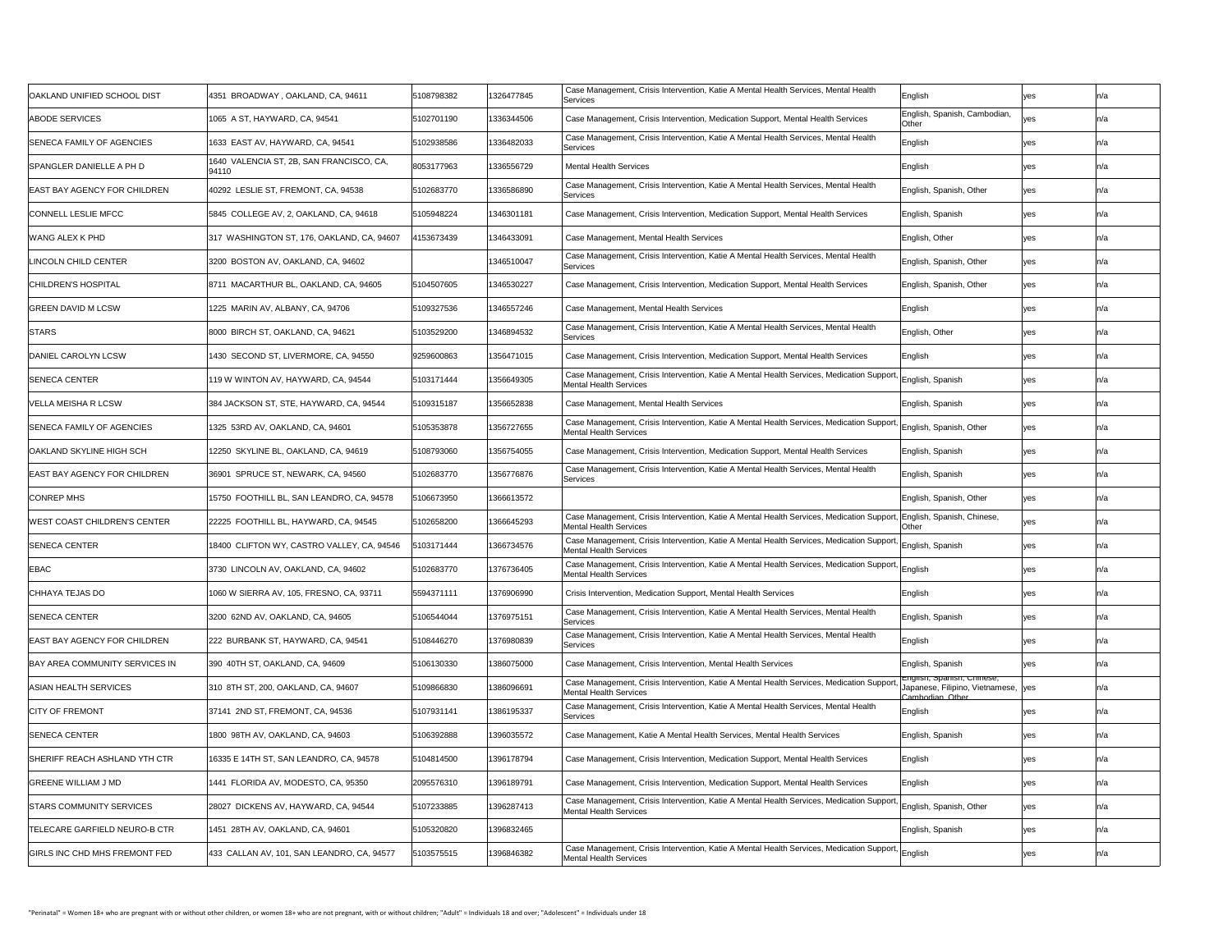|                                       |                                                   |            |            | Case Management, Crisis Intervention, Katie A Mental Health Services, Mental Health                                                                |                                                                                      |     |     |
|---------------------------------------|---------------------------------------------------|------------|------------|----------------------------------------------------------------------------------------------------------------------------------------------------|--------------------------------------------------------------------------------------|-----|-----|
| OAKLAND UNIFIED SCHOOL DIST           | 4351 BROADWAY, OAKLAND, CA, 94611                 | 5108798382 | 1326477845 | Services                                                                                                                                           | English                                                                              | yes |     |
| <b>ABODE SERVICES</b>                 | 1065 A ST, HAYWARD, CA, 94541                     | 5102701190 | 1336344506 | Case Management, Crisis Intervention, Medication Support, Mental Health Services                                                                   | English, Spanish, Cambodian,<br><b>Other</b>                                         |     |     |
| <b>SENECA FAMILY OF AGENCIES</b>      | 1633 EAST AV, HAYWARD, CA, 94541                  | 5102938586 | 1336482033 | Case Management, Crisis Intervention, Katie A Mental Health Services, Mental Health<br>Services                                                    | English                                                                              | ves |     |
| SPANGLER DANIELLE A PH D              | 1640 VALENCIA ST, 2B, SAN FRANCISCO, CA,<br>94110 | 8053177963 | 1336556729 | <b>Mental Health Services</b>                                                                                                                      | English                                                                              | yes |     |
| <b>EAST BAY AGENCY FOR CHILDREN</b>   | 40292 LESLIE ST, FREMONT, CA, 94538               | 5102683770 | 1336586890 | Case Management, Crisis Intervention, Katie A Mental Health Services, Mental Health<br>Services                                                    | English, Spanish, Other                                                              | yes |     |
| <b>CONNELL LESLIE MFCC</b>            | 5845 COLLEGE AV, 2, OAKLAND, CA, 94618            | 5105948224 | 1346301181 | Case Management, Crisis Intervention, Medication Support, Mental Health Services                                                                   | English, Spanish                                                                     | yes |     |
| <b>WANG ALEX K PHD</b>                | 317 WASHINGTON ST, 176, OAKLAND, CA, 94607        | 4153673439 | 1346433091 | Case Management, Mental Health Services                                                                                                            | English, Other                                                                       | yes |     |
| <b>LINCOLN CHILD CENTER</b>           | 3200 BOSTON AV, OAKLAND, CA, 94602                |            | 1346510047 | Case Management, Crisis Intervention, Katie A Mental Health Services, Mental Health<br>Services                                                    | English, Spanish, Other                                                              | yes |     |
| <b>CHILDREN'S HOSPITAL</b>            | 8711 MACARTHUR BL, OAKLAND, CA, 94605             | 5104507605 | 1346530227 | Case Management, Crisis Intervention, Medication Support, Mental Health Services                                                                   | English, Spanish, Other                                                              | yes |     |
| <b>GREEN DAVID M LCSW</b>             | 1225 MARIN AV, ALBANY, CA, 94706                  | 5109327536 | 1346557246 | Case Management, Mental Health Services                                                                                                            | <b>English</b><br>- פוישווי                                                          | yes |     |
| <b>STARS</b>                          | 8000 BIRCH ST, OAKLAND, CA, 94621                 | 5103529200 | 1346894532 | Case Management, Crisis Intervention, Katie A Mental Health Services, Mental Health<br>Services                                                    | English, Other                                                                       | ves |     |
| DANIEL CAROLYN LCSW                   | 1430 SECOND ST, LIVERMORE, CA, 94550              | 9259600863 | 1356471015 | Case Management, Crisis Intervention, Medication Support, Mental Health Services                                                                   | English                                                                              | yes |     |
| <b>SENECA CENTER</b>                  | 119 W WINTON AV, HAYWARD, CA, 94544               | 5103171444 | 1356649305 | Case Management, Crisis Intervention, Katie A Mental Health Services, Medication Support, English, Spanish<br><b>Mental Health Services</b>        |                                                                                      | yes |     |
| <b>VELLA MEISHA R LCSW</b>            | 384 JACKSON ST, STE, HAYWARD, CA, 94544           | 5109315187 | 1356652838 | Case Management, Mental Health Services                                                                                                            | English, Spanish                                                                     | yes |     |
| <b>SENECA FAMILY OF AGENCIES</b>      | 1325 53RD AV, OAKLAND, CA, 94601                  | 5105353878 | 1356727655 | Case Management, Crisis Intervention, Katie A Mental Health Services, Medication Support,<br><b>Mental Health Services</b>                         | English, Spanish, Other                                                              | yes |     |
| <b>OAKLAND SKYLINE HIGH SCH</b>       | 12250 SKYLINE BL, OAKLAND, CA, 94619              | 5108793060 | 1356754055 | Case Management, Crisis Intervention, Medication Support, Mental Health Services                                                                   | English, Spanish                                                                     | yes |     |
| <b>EAST BAY AGENCY FOR CHILDREN</b>   | 36901 SPRUCE ST, NEWARK, CA, 94560                | 5102683770 | 1356776876 | Case Management, Crisis Intervention, Katie A Mental Health Services, Mental Health<br><b>Services</b>                                             | English, Spanish                                                                     | yes |     |
| <b>CONREP MHS</b>                     | 15750 FOOTHILL BL, SAN LEANDRO, CA, 94578         | 5106673950 | 1366613572 |                                                                                                                                                    | English, Spanish, Other                                                              | yes |     |
| <b>WEST COAST CHILDREN'S CENTER</b>   | 22225 FOOTHILL BL, HAYWARD, CA, 94545             | 5102658200 | 1366645293 | Case Management, Crisis Intervention, Katie A Mental Health Services, Medication Support,<br><b>Mental Health Services</b>                         | English, Spanish, Chinese,<br>Other                                                  | yes |     |
| <b>SENECA CENTER</b>                  | 18400 CLIFTON WY, CASTRO VALLEY, CA, 94546        | 5103171444 | 1366734576 | Case Management, Crisis Intervention, Katie A Mental Health Services, Medication Support, English, Spanish<br><b>Mental Health Services</b>        |                                                                                      | yes |     |
| <b>EBAC</b>                           | 3730 LINCOLN AV, OAKLAND, CA, 94602               | 5102683770 | 1376736405 | Case Management, Crisis Intervention, Katie A Mental Health Services, Medication Support, English<br><b>Mental Health Services</b>                 |                                                                                      | yes |     |
| <b>CHHAYA TEJAS DO</b>                | 1060 W SIERRA AV, 105, FRESNO, CA, 93711          | 5594371111 | 1376906990 | Crisis Intervention, Medication Support, Mental Health Services                                                                                    | English                                                                              | yes |     |
| <b>SENECA CENTER</b>                  | 3200 62ND AV, OAKLAND, CA, 94605                  | 5106544044 | 1376975151 | Case Management, Crisis Intervention, Katie A Mental Health Services, Mental Health<br>Services                                                    | English, Spanish                                                                     | yes |     |
| <b>EAST BAY AGENCY FOR CHILDREN</b>   | 222 BURBANK ST, HAYWARD, CA, 94541                | 5108446270 | 1376980839 | Case Management, Crisis Intervention, Katie A Mental Health Services, Mental Health<br>Services                                                    | English                                                                              | ves |     |
| <b>BAY AREA COMMUNITY SERVICES IN</b> | 390 40TH ST, OAKLAND, CA, 94609                   | 5106130330 | 1386075000 | Case Management, Crisis Intervention, Mental Health Services                                                                                       | English, Spanish                                                                     | yes |     |
| <b>ASIAN HEALTH SERVICES</b>          | 310 8TH ST, 200, OAKLAND, CA, 94607               | 5109866830 | 1386096691 | Case Management, Crisis Intervention, Katie A Mental Health Services, Medication Support<br><b>Mental Health Services</b>                          | English, Spanish, Chinese,<br>Japanese, Filipino, Vietnamese, Ves<br>Cambodian Other |     |     |
| <b>CITY OF FREMONT</b>                | 37141 2ND ST, FREMONT, CA, 94536                  | 5107931141 | 1386195337 | Case Management, Crisis Intervention, Katie A Mental Health Services, Mental Health<br>Services                                                    | English                                                                              |     |     |
| <b>SENECA CENTER</b>                  | 1800 98TH AV, OAKLAND, CA, 94603                  | 5106392888 | 1396035572 | Case Management, Katie A Mental Health Services, Mental Health Services                                                                            | English, Spanish                                                                     | yes |     |
| <b>SHERIFF REACH ASHLAND YTH CTR</b>  | 16335 E 14TH ST, SAN LEANDRO, CA, 94578           | 5104814500 | 1396178794 | Case Management, Crisis Intervention, Medication Support, Mental Health Services                                                                   | English                                                                              | ves |     |
| <b>GREENE WILLIAM J MD</b>            | 1441 FLORIDA AV, MODESTO, CA, 95350               | 2095576310 | 1396189791 | Case Management, Crisis Intervention, Medication Support, Mental Health Services                                                                   | English                                                                              | yes | n/a |
| <b>STARS COMMUNITY SERVICES</b>       | 28027 DICKENS AV, HAYWARD, CA, 94544              | 5107233885 | 1396287413 | Case Management, Crisis Intervention, Katie A Mental Health Services, Medication Support, English, Spanish, Other<br><b>Mental Health Services</b> |                                                                                      | yes |     |
| <b>TELECARE GARFIELD NEURO-B CTR</b>  | 1451_28TH AV, OAKLAND, CA, 94601_                 | 5105320820 | 1396832465 |                                                                                                                                                    | English, Spanish                                                                     | yes |     |
| <b>GIRLS INC CHD MHS FREMONT FED</b>  | 433 CALLAN AV, 101, SAN LEANDRO, CA, 94577        | 5103575515 | 1396846382 | Case Management, Crisis Intervention, Katie A Mental Health Services, Medication Support, English<br><b>Mental Health Services</b>                 |                                                                                      | yes |     |
|                                       |                                                   |            |            |                                                                                                                                                    |                                                                                      |     |     |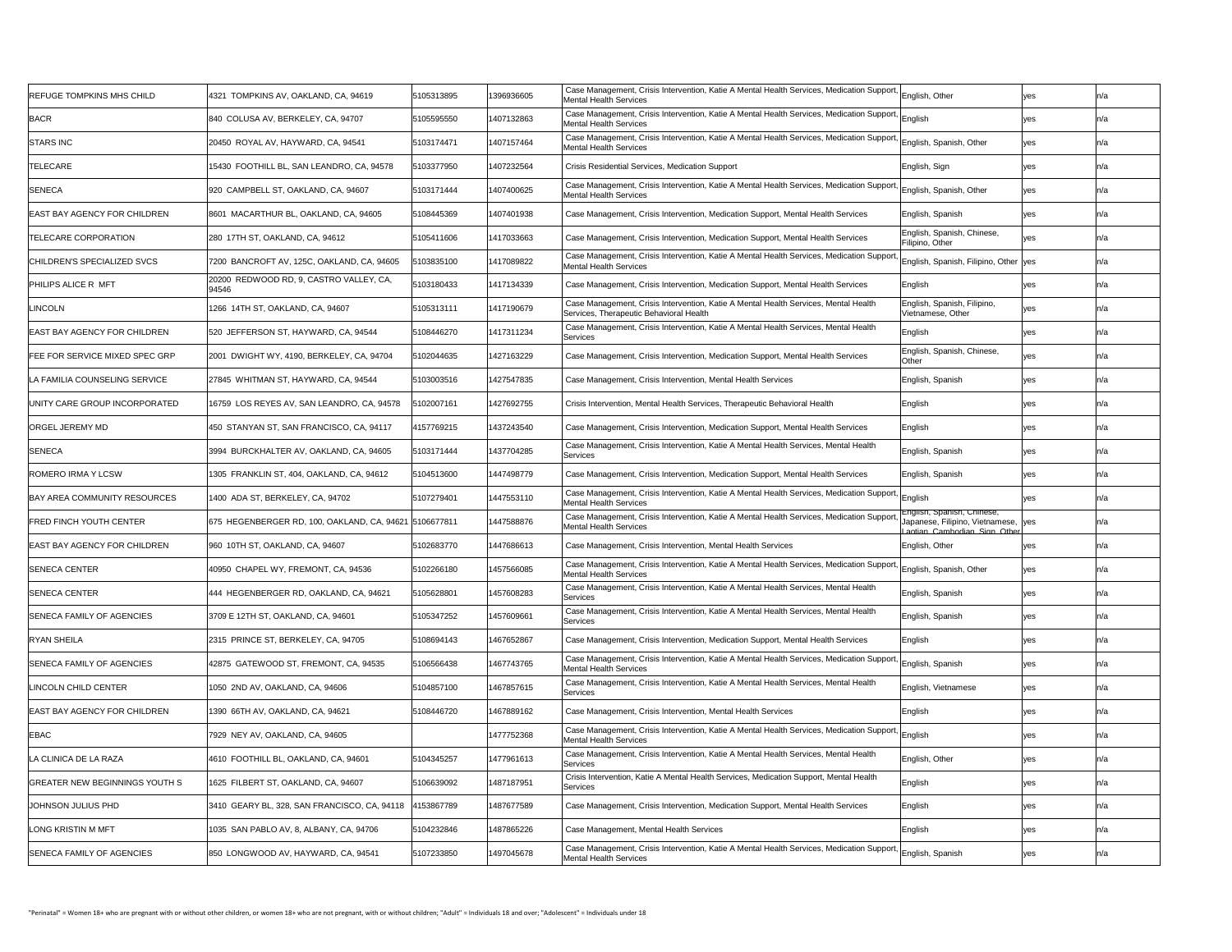| <b>REFUGE TOMPKINS MHS CHILD</b>      | 4321 TOMPKINS AV, OAKLAND, CA, 94619                   | 5105313895 | 1396936605 | Case Management, Crisis Intervention, Katie A Mental Health Services, Medication Support, English, Other<br>Mental Health Services                               |                                                                                                  | yes        | n/a  |
|---------------------------------------|--------------------------------------------------------|------------|------------|------------------------------------------------------------------------------------------------------------------------------------------------------------------|--------------------------------------------------------------------------------------------------|------------|------|
| <b>BACR</b>                           | 840 COLUSA AV, BERKELEY, CA, 94707                     | 5105595550 | 1407132863 | Case Management, Crisis Intervention, Katie A Mental Health Services, Medication Support, English<br><b>Mental Health Services</b>                               |                                                                                                  | ves        |      |
| <b>STARS INC</b>                      | 20450 ROYAL AV, HAYWARD, CA, 94541                     | 5103174471 | 1407157464 | Case Management, Crisis Intervention, Katie A Mental Health Services, Medication Support, English, Spanish, Other<br><b>Mental Health Services</b>               |                                                                                                  | yes        |      |
| <b>TELECARE</b>                       | 15430 FOOTHILL BL, SAN LEANDRO, CA, 94578              | 5103377950 | 1407232564 | <b>Crisis Residential Services, Medication Support</b>                                                                                                           | English, Sign                                                                                    | yes        |      |
| <b>SENECA</b>                         | 920 CAMPBELL ST, OAKLAND, CA, 94607                    | 5103171444 | 1407400625 | Case Management, Crisis Intervention, Katie A Mental Health Services, Medication Support, English, Spanish, Other<br><b>Mental Health Services</b>               |                                                                                                  | yes        |      |
| <b>EAST BAY AGENCY FOR CHILDREN</b>   | 8601 MACARTHUR BL, OAKLAND, CA, 94605                  | 5108445369 | 1407401938 | Case Management, Crisis Intervention, Medication Support, Mental Health Services                                                                                 | English, Spanish                                                                                 | yes        |      |
| <b>TELECARE CORPORATION</b>           | 280 17TH ST, OAKLAND, CA, 94612                        | 5105411606 | 1417033663 | Case Management, Crisis Intervention, Medication Support, Mental Health Services                                                                                 | English, Spanish, Chinese,<br>Filipino, Other                                                    | ves        |      |
| <b>CHILDREN'S SPECIALIZED SVCS</b>    | 7200 BANCROFT AV, 125C, OAKLAND, CA, 94605             | 5103835100 | 1417089822 | Case Management, Crisis Intervention, Katie A Mental Health Services, Medication Support, English, Spanish, Filipino, Other yes<br><b>Mental Health Services</b> |                                                                                                  |            |      |
| <b>PHILIPS ALICE R MFT</b>            | 20200 REDWOOD RD, 9, CASTRO VALLEY, CA,<br>94546       | 5103180433 | 1417134339 | Case Management, Crisis Intervention, Medication Support, Mental Health Services                                                                                 | English                                                                                          | yes        |      |
| LINCOLN                               | 1266 14TH ST, OAKLAND, CA, 94607                       | 5105313111 | 1417190679 | Case Management, Crisis Intervention, Katie A Mental Health Services, Mental Health<br>Services, Therapeutic Behavioral Health                                   | English, Spanish, Filipino,<br>Vietnamese, Other                                                 |            |      |
| <b>EAST BAY AGENCY FOR CHILDREN</b>   | 520 JEFFERSON ST, HAYWARD, CA, 94544                   | 5108446270 | 1417311234 | Case Management, Crisis Intervention, Katie A Mental Health Services, Mental Health<br>Services                                                                  | English                                                                                          | yes        |      |
| <b>FEE FOR SERVICE MIXED SPEC GRP</b> | 2001 DWIGHT WY, 4190, BERKELEY, CA, 94704              | 5102044635 | 1427163229 | Case Management, Crisis Intervention, Medication Support, Mental Health Services                                                                                 | English, Spanish, Chinese,<br>Other                                                              | yes        |      |
| LA FAMILIA COUNSELING SERVICE         | 27845 WHITMAN ST, HAYWARD, CA, 94544                   | 5103003516 | 1427547835 | Case Management, Crisis Intervention, Mental Health Services                                                                                                     | English, Spanish                                                                                 | yes        |      |
| UNITY CARE GROUP INCORPORATED         | 16759 LOS REYES AV, SAN LEANDRO, CA, 94578             | 5102007161 | 1427692755 | Crisis Intervention, Mental Health Services, Therapeutic Behavioral Health                                                                                       | English                                                                                          | yes        |      |
| <b>ORGEL JEREMY MD</b>                | 450 STANYAN ST, SAN FRANCISCO, CA, 94117               | 4157769215 | 1437243540 | Case Management, Crisis Intervention, Medication Support, Mental Health Services                                                                                 | English                                                                                          | yes        |      |
| <b>SENECA</b>                         | 3994 BURCKHALTER AV, OAKLAND, CA, 94605                | 5103171444 | 1437704285 | Case Management, Crisis Intervention, Katie A Mental Health Services, Mental Health<br>Services                                                                  | English, Spanish                                                                                 | yes        |      |
| <b>ROMERO IRMA Y LCSW</b>             | 1305 FRANKLIN ST, 404, OAKLAND, CA, 94612              | 5104513600 | 1447498779 | Case Management, Crisis Intervention, Medication Support, Mental Health Services                                                                                 | English, Spanish                                                                                 | yes        |      |
| <b>BAY AREA COMMUNITY RESOURCES</b>   | 1400 ADA ST, BERKELEY, CA, 94702                       | 5107279401 | 1447553110 | Case Management, Crisis Intervention, Katie A Mental Health Services, Medication Support, English<br><b>Mental Health Services</b>                               |                                                                                                  |            |      |
| <b>FRED FINCH YOUTH CENTER</b>        | 675 HEGENBERGER RD, 100, OAKLAND, CA, 94621 5106677811 |            | 1447588876 | Case Management, Crisis Intervention, Katie A Mental Health Services, Medication Support,<br><b>Mental Health Services</b>                                       | English, Spanish, Chinese,<br>Japanese, Filipino, Vietnamese, yes<br>aotian Cambodian Sign Other |            |      |
| <b>EAST BAY AGENCY FOR CHILDREN</b>   | 960 10TH ST, OAKLAND, CA, 94607                        | 5102683770 | 1447686613 | Case Management, Crisis Intervention, Mental Health Services                                                                                                     | English, Other                                                                                   | yes        | ln/a |
| <b>SENECA CENTER</b>                  | 40950 CHAPEL WY, FREMONT, CA, 94536                    | 5102266180 | 1457566085 | Case Management, Crisis Intervention, Katie A Mental Health Services, Medication Support,<br>Mental Health Services                                              | English, Spanish, Other                                                                          | yes        |      |
| <b>SENECA CENTER</b>                  | 444 HEGENBERGER RD, OAKLAND, CA, 94621                 | 5105628801 | 1457608283 | Case Management, Crisis Intervention, Katie A Mental Health Services, Mental Health<br>Services                                                                  | English, Spanish                                                                                 | yes        |      |
| <b>SENECA FAMILY OF AGENCIES</b>      | 3709 E 12TH ST, OAKLAND, CA, 94601                     | 5105347252 | 1457609661 | Case Management, Crisis Intervention, Katie A Mental Health Services, Mental Health<br>Services                                                                  | English, Spanish                                                                                 | yes        |      |
| <b>RYAN SHEILA</b>                    | 2315 PRINCE ST, BERKELEY, CA, 94705                    | 5108694143 | 1467652867 | Case Management, Crisis Intervention, Medication Support, Mental Health Services                                                                                 | English                                                                                          | yes        |      |
| <b>SENECA FAMILY OF AGENCIES</b>      | 42875 GATEWOOD ST, FREMONT, CA, 94535                  | 5106566438 | 1467743765 | Case Management, Crisis Intervention, Katie A Mental Health Services, Medication Support, English, Spanish<br><b>Mental Health Services</b>                      |                                                                                                  | yes        |      |
| <b>LINCOLN CHILD CENTER</b>           | 1050 2ND AV, OAKLAND, CA, 94606                        | 5104857100 | 1467857615 | Case Management, Crisis Intervention, Katie A Mental Health Services, Mental Health<br>Services                                                                  | English, Vietnamese                                                                              | yes        |      |
| <b>EAST BAY AGENCY FOR CHILDREN</b>   | 1390 66TH AV, OAKLAND, CA, 94621                       | 5108446720 | 1467889162 | Case Management, Crisis Intervention, Mental Health Services                                                                                                     | English                                                                                          | <b>yes</b> |      |
| <b>EBAC</b>                           | 7929 NEY AV, OAKLAND, CA, 94605                        |            | 1477752368 | Case Management, Crisis Intervention, Katie A Mental Health Services, Medication Support, English<br>Mental Health Services                                      |                                                                                                  | yes        |      |
| LA CLINICA DE LA RAZA                 | 4610 FOOTHILL BL, OAKLAND, CA, 94601                   | 5104345257 | 1477961613 | Case Management, Crisis Intervention, Katie A Mental Health Services, Mental Health<br>Services                                                                  | English, Other                                                                                   | yes        |      |
| <b>GREATER NEW BEGINNINGS YOUTH S</b> | 1625 FILBERT ST, OAKLAND, CA, 94607                    | 5106639092 | 1487187951 | Crisis Intervention, Katie A Mental Health Services, Medication Support, Mental Health<br> Services                                                              | English                                                                                          | yes        | ln/a |
| JOHNSON JULIUS PHD                    | 3410 GEARY BL, 328, SAN FRANCISCO, CA, 94118           | 4153867789 | 1487677589 | Case Management, Crisis Intervention, Medication Support, Mental Health Services                                                                                 | English                                                                                          | yes        |      |
| <b>LONG KRISTIN M MFT</b>             | 1035 SAN PABLO AV, 8, ALBANY, CA, 94706                | 5104232846 | 1487865226 | Case Management, Mental Health Services                                                                                                                          | English                                                                                          | yes        |      |
|                                       |                                                        |            |            | Case Management, Crisis Intervention, Katie A Mental Health Services, Medication Support, English, Spanish                                                       |                                                                                                  |            |      |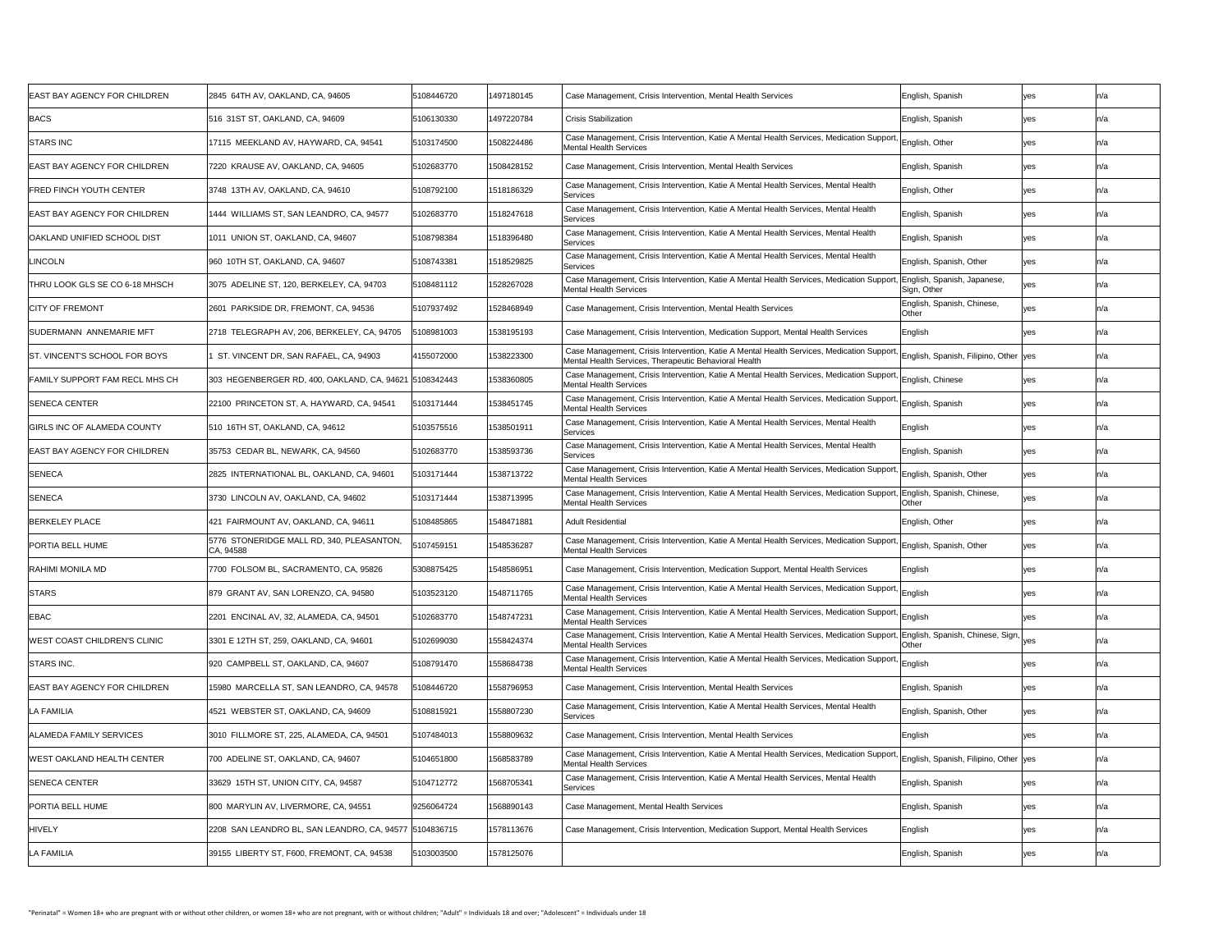| <b>EAST BAY AGENCY FOR CHILDREN</b>   | 2845 64TH AV, OAKLAND, CA, 94605                       | 5108446720 | 1497180145 | Case Management, Crisis Intervention, Mental Health Services                                                                                                    | English, Spanish                             | yes | n/a |
|---------------------------------------|--------------------------------------------------------|------------|------------|-----------------------------------------------------------------------------------------------------------------------------------------------------------------|----------------------------------------------|-----|-----|
| <b>BACS</b>                           | 516 31ST ST, OAKLAND, CA, 94609                        | 5106130330 | 1497220784 | <b>Crisis Stabilization</b>                                                                                                                                     | English, Spanish                             | yes | n/a |
| <b>STARS INC</b>                      | 17115 MEEKLAND AV, HAYWARD, CA, 94541                  | 5103174500 | 1508224486 | Case Management, Crisis Intervention, Katie A Mental Health Services, Medication Support, English, Other<br><b>Mental Health Services</b>                       |                                              | yes |     |
| <b>EAST BAY AGENCY FOR CHILDREN</b>   | 7220 KRAUSE AV, OAKLAND, CA, 94605                     | 5102683770 | 1508428152 | Case Management, Crisis Intervention, Mental Health Services                                                                                                    | English, Spanish                             | yes |     |
| <b>FRED FINCH YOUTH CENTER</b>        | 3748 13TH AV, OAKLAND, CA, 94610                       | 5108792100 | 1518186329 | Case Management, Crisis Intervention, Katie A Mental Health Services, Mental Health<br>Services                                                                 | English, Other                               | yes |     |
| <b>EAST BAY AGENCY FOR CHILDREN</b>   | 1444 WILLIAMS ST, SAN LEANDRO, CA, 94577               | 5102683770 | 1518247618 | Case Management, Crisis Intervention, Katie A Mental Health Services, Mental Health<br>Services                                                                 | English, Spanish                             | yes |     |
| <b>OAKLAND UNIFIED SCHOOL DIST</b>    | 1011 UNION ST, OAKLAND, CA, 94607                      | 5108798384 | 1518396480 | Case Management, Crisis Intervention, Katie A Mental Health Services, Mental Health<br>Services                                                                 | English, Spanish                             | yes |     |
| <b>LINCOLN</b>                        | 960 10TH ST, OAKLAND, CA, 94607                        | 5108743381 | 1518529825 | Case Management, Crisis Intervention, Katie A Mental Health Services, Mental Health<br>Services                                                                 | English, Spanish, Other                      | yes |     |
| <b>THRU LOOK GLS SE CO 6-18 MHSCH</b> | 3075 ADELINE ST, 120, BERKELEY, CA, 94703              | 5108481112 | 1528267028 | Case Management, Crisis Intervention, Katie A Mental Health Services, Medication Support,<br><b>Mental Health Services</b>                                      | , English, Spanish, Japanese,<br>Sign, Other | ves |     |
| <b>CITY OF FREMONT</b>                | 2601 PARKSIDE DR, FREMONT, CA, 94536                   | 5107937492 | 1528468949 | Case Management, Crisis Intervention, Mental Health Services                                                                                                    | English, Spanish, Chinese,<br> Other         |     |     |
| <b>SUDERMANN ANNEMARIE MFT</b>        | 2718 TELEGRAPH AV, 206, BERKELEY, CA, 94705            | 5108981003 | 1538195193 | Case Management, Crisis Intervention, Medication Support, Mental Health Services                                                                                | English                                      | yes |     |
| <b>ST. VINCENT'S SCHOOL FOR BOYS</b>  | ST. VINCENT DR, SAN RAFAEL, CA, 94903                  | 4155072000 | 1538223300 | Case Management, Crisis Intervention, Katie A Mental Health Services, Medication Support,<br>Mental Health Services, Therapeutic Behavioral Health              | English, Spanish, Filipino, Other yes        |     |     |
| <b>FAMILY SUPPORT FAM RECL MHS CH</b> | 303 HEGENBERGER RD, 400, OAKLAND, CA, 94621 5108342443 |            | 1538360805 | Case Management, Crisis Intervention, Katie A Mental Health Services, Medication Support, English, Chinese<br><b>Mental Health Services</b>                     |                                              | yes |     |
| <b>SENECA CENTER</b>                  | 22100 PRINCETON ST, A, HAYWARD, CA, 94541              | 5103171444 | 1538451745 | Case Management, Crisis Intervention, Katie A Mental Health Services, Medication Support, English, Spanish<br><b>Mental Health Services</b>                     |                                              | yes |     |
| <b>GIRLS INC OF ALAMEDA COUNTY</b>    | 510 16TH ST, OAKLAND, CA, 94612                        | 5103575516 | 1538501911 | Case Management, Crisis Intervention, Katie A Mental Health Services, Mental Health<br>Services                                                                 | English                                      | yes |     |
| <b>EAST BAY AGENCY FOR CHILDREN</b>   | 35753 CEDAR BL, NEWARK, CA, 94560                      | 5102683770 | 1538593736 | Case Management, Crisis Intervention, Katie A Mental Health Services, Mental Health<br>Services                                                                 | English, Spanish                             | yes |     |
| <b>SENECA</b>                         | 2825 INTERNATIONAL BL, OAKLAND, CA, 94601              | 5103171444 | 1538713722 | Case Management, Crisis Intervention, Katie A Mental Health Services, Medication Support, English, Spanish, Other<br><b>Mental Health Services</b>              |                                              | yes |     |
| <b>SENECA</b>                         | 3730 LINCOLN AV, OAKLAND, CA, 94602                    | 5103171444 | 1538713995 | Case Management, Crisis Intervention, Katie A Mental Health Services, Medication Support,<br><b>Mental Health Services</b>                                      | , English, Spanish, Chinese,<br>Other        | yes |     |
| <b>BERKELEY PLACE</b>                 | 421 FAIRMOUNT AV, OAKLAND, CA, 94611                   | 5108485865 | 1548471881 | <b>Adult Residential</b>                                                                                                                                        | English, Other                               | yes |     |
| <b>PORTIA BELL HUME</b>               | 5776 STONERIDGE MALL RD, 340, PLEASANTON,<br>CA, 94588 | 5107459151 | 1548536287 | Case Management, Crisis Intervention, Katie A Mental Health Services, Medication Support,<br><b>Mental Health Services</b>                                      | English, Spanish, Other                      | yes |     |
| <b>RAHIMI MONILA MD</b>               | 7700 FOLSOM BL, SACRAMENTO, CA, 95826                  | 5308875425 | 1548586951 | Case Management, Crisis Intervention, Medication Support, Mental Health Services                                                                                | English                                      | ves |     |
| <b>STARS</b>                          | 879 GRANT AV, SAN LORENZO, CA, 94580                   | 5103523120 | 1548711765 | Case Management, Crisis Intervention, Katie A Mental Health Services, Medication Support, English<br><b>Mental Health Services</b>                              |                                              | ves |     |
| <b>EBAC</b>                           | 2201 ENCINAL AV, 32, ALAMEDA, CA, 94501                | 5102683770 | 1548747231 | Case Management, Crisis Intervention, Katie A Mental Health Services, Medication Support, English<br><b>Mental Health Services</b>                              |                                              | ves |     |
| WEST COAST CHILDREN'S CLINIC          | 3301 E 12TH ST, 259, OAKLAND, CA, 94601                | 5102699030 | 1558424374 | Case Management, Crisis Intervention, Katie A Mental Health Services, Medication Support, English, Spanish, Chinese, Sign, Ves<br><b>Mental Health Services</b> | Other                                        |     |     |
| <b>STARS INC.</b>                     | 920 CAMPBELL ST, OAKLAND, CA, 94607                    | 5108791470 | 1558684738 | Case Management, Crisis Intervention, Katie A Mental Health Services, Medication Support, English<br><b>Mental Health Services</b>                              |                                              | yes |     |
| <b>EAST BAY AGENCY FOR CHILDREN</b>   | 15980 MARCELLA ST, SAN LEANDRO, CA, 94578              | 5108446720 | 1558796953 | Case Management, Crisis Intervention, Mental Health Services                                                                                                    | English, Spanish                             | yes |     |
| <b>LA FAMILIA</b>                     | 4521 WEBSTER ST, OAKLAND, CA, 94609                    | 5108815921 | 1558807230 | Case Management, Crisis Intervention, Katie A Mental Health Services, Mental Health<br>Services                                                                 | English, Spanish, Other                      | yes |     |
| <b>ALAMEDA FAMILY SERVICES</b>        | 3010 FILLMORE ST, 225, ALAMEDA, CA, 94501              | 5107484013 | 1558809632 | Case Management, Crisis Intervention, Mental Health Services                                                                                                    | English                                      | yes |     |
| <b>WEST OAKLAND HEALTH CENTER</b>     | 700 ADELINE ST, OAKLAND, CA, 94607                     | 5104651800 | 1568583789 | Case Management, Crisis Intervention, Katie A Mental Health Services, Medication Support,<br><b>Mental Health Services</b>                                      | ' English, Spanish, Filipino, Other  yes     |     |     |
| <b>SENECA CENTER</b>                  | 33629 15TH ST, UNION CITY, CA, 94587                   | 5104712772 | 1568705341 | Case Management, Crisis Intervention, Katie A Mental Health Services, Mental Health<br>Services                                                                 | English, Spanish                             | yes | n/a |
| <b>PORTIA BELL HUME</b>               | 800 MARYLIN AV, LIVERMORE, CA, 94551                   | 9256064724 | 1568890143 | Case Management, Mental Health Services                                                                                                                         | English, Spanish                             | yes |     |
| <b>HIVELY</b>                         | 2208 SAN LEANDRO BL, SAN LEANDRO, CA, 94577 5104836715 |            | 1578113676 | Case Management, Crisis Intervention, Medication Support, Mental Health Services                                                                                | English                                      | yes |     |
| LA FAMILIA                            | 39155 LIBERTY ST, F600, FREMONT, CA, 94538             | 5103003500 | 1578125076 |                                                                                                                                                                 | English, Spanish                             | yes |     |
|                                       |                                                        |            |            |                                                                                                                                                                 |                                              |     |     |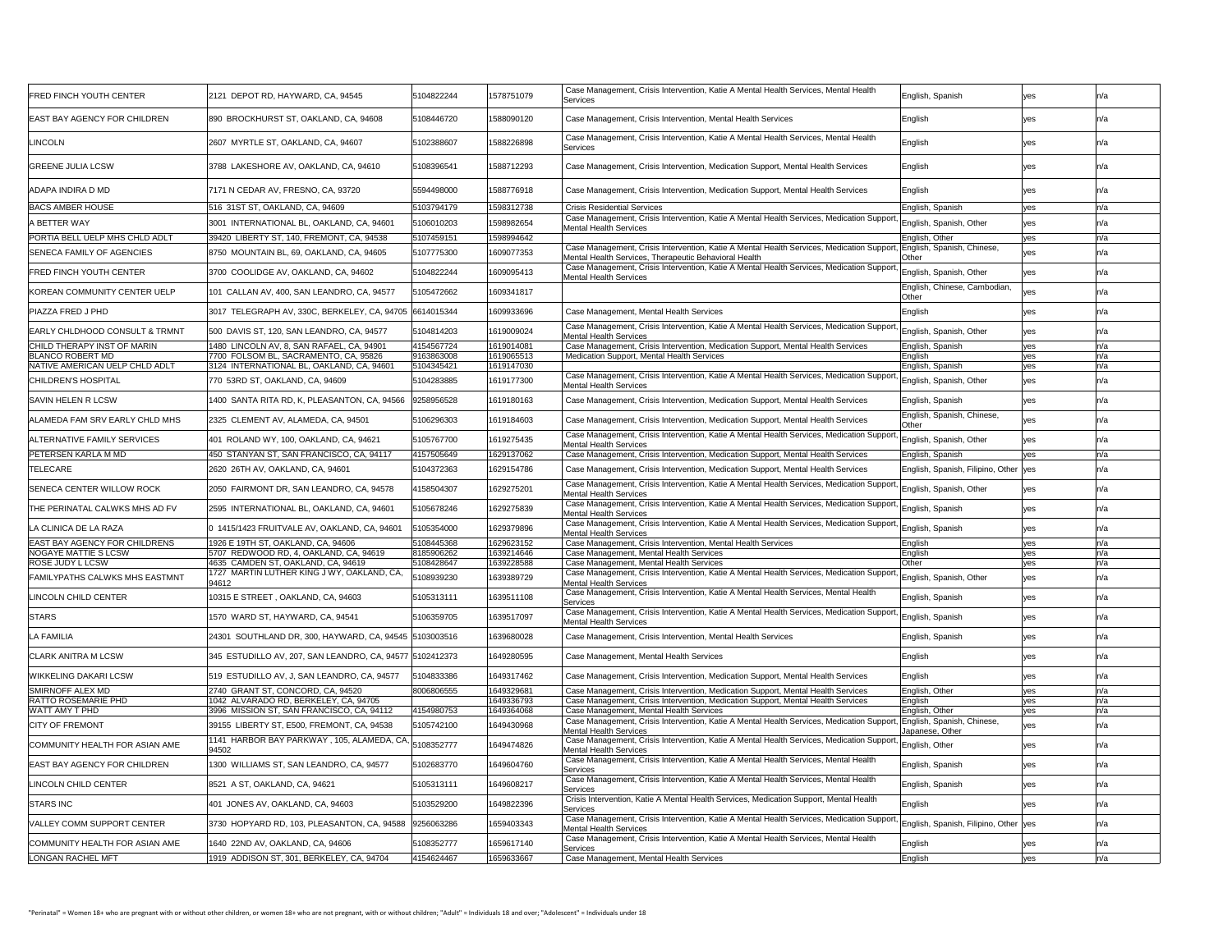| <b>FRED FINCH YOUTH CENTER</b>                         | 2121 DEPOT RD, HAYWARD, CA, 94545                                                  | 5104822244               | 1578751079               | Case Management, Crisis Intervention, Katie A Mental Health Services, Mental Health<br>Services                                                                  | English, Spanish                               | yes        |      |
|--------------------------------------------------------|------------------------------------------------------------------------------------|--------------------------|--------------------------|------------------------------------------------------------------------------------------------------------------------------------------------------------------|------------------------------------------------|------------|------|
| <b>EAST BAY AGENCY FOR CHILDREN</b>                    | 890 BROCKHURST ST, OAKLAND, CA, 94608                                              | 5108446720               | 1588090120               | Case Management, Crisis Intervention, Mental Health Services                                                                                                     | English                                        | yes        |      |
| <b>LINCOLN</b>                                         | 2607 MYRTLE ST, OAKLAND, CA, 94607                                                 | 5102388607               | 1588226898               | Case Management, Crisis Intervention, Katie A Mental Health Services, Mental Health<br>Services                                                                  | English                                        | yes        |      |
| <b>GREENE JULIA LCSW</b>                               | 3788 LAKESHORE AV, OAKLAND, CA, 94610                                              | 5108396541               | 1588712293               | Case Management, Crisis Intervention, Medication Support, Mental Health Services                                                                                 | English                                        | yes        |      |
| ADAPA INDIRA D MD                                      | 7171 N CEDAR AV, FRESNO, CA, 93720                                                 | 5594498000               | 1588776918               | Case Management, Crisis Intervention, Medication Support, Mental Health Services                                                                                 | English                                        | yes        |      |
| <b>BACS AMBER HOUSE</b>                                | 516 31ST ST, OAKLAND, CA, 94609                                                    | 5103794179               | 1598312738               | <b>Crisis Residential Services</b>                                                                                                                               | English, Spanish                               | yes        | In/a |
| A BETTER WAY                                           | 3001 INTERNATIONAL BL, OAKLAND, CA, 94601                                          | 5106010203               | 1598982654               | Case Management, Crisis Intervention, Katie A Mental Health Services, Medication Support,                                                                        | English, Spanish, Other                        | yes        |      |
| PORTIA BELL UELP MHS CHLD ADLT                         | 39420 LIBERTY ST, 140, FREMONT, CA, 94538                                          | 5107459151               | 1598994642               | <b>Mental Health Services</b>                                                                                                                                    | English, Other                                 | yes        |      |
| SENECA FAMILY OF AGENCIES                              | 8750 MOUNTAIN BL, 69, OAKLAND, CA, 94605                                           | 5107775300               | 1609077353               | Case Management, Crisis Intervention, Katie A Mental Health Services, Medication Support,                                                                        | , English, Spanish, Chinese,                   | yes        |      |
| <b>FRED FINCH YOUTH CENTER</b>                         | 3700 COOLIDGE AV, OAKLAND, CA, 94602                                               | 5104822244               | 1609095413               | Mental Health Services, Therapeutic Behavioral Health<br>Case Management, Crisis Intervention, Katie A Mental Health Services, Medication Support,               | <b>Other</b><br>English, Spanish, Other        | yes        |      |
| <b>KOREAN COMMUNITY CENTER UELP</b>                    | 101 CALLAN AV, 400, SAN LEANDRO, CA, 94577                                         | 5105472662               | 1609341817               | <b>Mental Health Services</b>                                                                                                                                    | English, Chinese, Cambodian,                   | ves        |      |
| PIAZZA FRED J PHD                                      | 3017 TELEGRAPH AV, 330C, BERKELEY, CA, 94705 6614015344                            |                          | 1609933696               |                                                                                                                                                                  | Other<br>English                               |            |      |
|                                                        |                                                                                    |                          |                          | Case Management, Mental Health Services<br>Case Management, Crisis Intervention, Katie A Mental Health Services, Medication Support,                             |                                                |            |      |
| <b>EARLY CHLDHOOD CONSULT &amp; TRMNT</b>              | 500 DAVIS ST, 120, SAN LEANDRO, CA, 94577                                          | 5104814203               | 1619009024               | Mental Health Services                                                                                                                                           | " English, Spanish, Other                      | yes        |      |
| CHILD THERAPY INST OF MARIN<br><b>BLANCO ROBERT MD</b> | 1480 LINCOLN AV, 8, SAN RAFAEL, CA, 94901<br>7700 FOLSOM BL, SACRAMENTO, CA, 95826 | 4154567724<br>9163863008 | 1619014081<br>1619065513 | Case Management, Crisis Intervention, Medication Support, Mental Health Services<br><b>Medication Support, Mental Health Services</b>                            | English, Spanish<br>English                    | yes<br>yes | In/a |
| NATIVE AMERICAN UELP CHLD ADLT                         | 3124 INTERNATIONAL BL, OAKLAND, CA, 94601                                          | 5104345421               | 1619147030               |                                                                                                                                                                  | English, Spanish                               | yes        |      |
| <b>CHILDREN'S HOSPITAL</b>                             | 770 53RD ST, OAKLAND, CA, 94609                                                    | 5104283885               | 1619177300               | Case Management, Crisis Intervention, Katie A Mental Health Services, Medication Support,<br><b>Mental Health Services</b>                                       | English, Spanish, Other                        | yes        |      |
| <b>SAVIN HELEN R LCSW</b>                              | 1400 SANTA RITA RD, K, PLEASANTON, CA, 94566                                       | 9258956528               | 1619180163               | Case Management, Crisis Intervention, Medication Support, Mental Health Services                                                                                 | English, Spanish                               | ves        |      |
| ALAMEDA FAM SRV EARLY CHLD MHS                         | 2325 CLEMENT AV, ALAMEDA, CA, 94501                                                | 5106296303               | 1619184603               | Case Management, Crisis Intervention, Medication Support, Mental Health Services                                                                                 | English, Spanish, Chinese,<br>Other            |            |      |
| ALTERNATIVE FAMILY SERVICES                            | 401 ROLAND WY, 100, OAKLAND, CA, 94621                                             | 5105767700               | 1619275435               | Case Management, Crisis Intervention, Katie A Mental Health Services, Medication Support<br><b>Mental Health Services</b>                                        | English, Spanish, Other                        | yes        |      |
| PETERSEN KARLA M MD                                    | 450 STANYAN ST, SAN FRANCISCO, CA, 94117                                           | 4157505649               | 1629137062               | Case Management, Crisis Intervention, Medication Support, Mental Health Services                                                                                 | English, Spanish                               | yes        |      |
| <b>TELECARE</b>                                        | 2620 26TH AV, OAKLAND, CA, 94601                                                   | 5104372363               | 1629154786               | Case Management, Crisis Intervention, Medication Support, Mental Health Services                                                                                 | English, Spanish, Filipino, Other yes          |            |      |
| <b>SENECA CENTER WILLOW ROCK</b>                       | 2050 FAIRMONT DR, SAN LEANDRO, CA, 94578                                           | 4158504307               | 1629275201               | Case Management, Crisis Intervention, Katie A Mental Health Services, Medication Support,<br><b>Mental Health Services</b>                                       | English, Spanish, Other                        | yes        |      |
| THE PERINATAL CALWKS MHS AD FV                         | 2595 INTERNATIONAL BL, OAKLAND, CA, 94601                                          | 5105678246               | 1629275839               | Case Management, Crisis Intervention, Katie A Mental Health Services, Medication Support, English, Spanish<br><b>Mental Health Services</b>                      |                                                | yes        |      |
| LA CLINICA DE LA RAZA                                  | 0 1415/1423 FRUITVALE AV, OAKLAND, CA, 94601                                       | 5105354000               | 1629379896               | Case Management, Crisis Intervention, Katie A Mental Health Services, Medication Support, English, Spanish<br><b>Mental Health Services</b>                      |                                                | yes        |      |
| <b>EAST BAY AGENCY FOR CHILDRENS</b>                   | 1926 E 19TH ST, OAKLAND, CA, 94606                                                 | 5108445368               | 1629623152               | Case Management, Crisis Intervention, Mental Health Services                                                                                                     | English                                        | yes        |      |
| <b>NOGAYE MATTIE S LCSW</b>                            | 5707 REDWOOD RD, 4, OAKLAND, CA, 94619                                             | 8185906262               | 1639214646               | Case Management, Mental Health Services                                                                                                                          | English                                        | yes        |      |
| <b>ROSE JUDY L LCSW</b>                                | 4635 CAMDEN ST, OAKLAND, CA, 94619<br>1727 MARTIN LUTHER KING J WY, OAKLAND, CA,   | 5108428647               | 1639228588               | <b>Case Management, Mental Health Services</b><br>Case Management, Crisis Intervention, Katie A Mental Health Services, Medication Support,                      | Other                                          | yes        |      |
| <b>FAMILYPATHS CALWKS MHS EASTMNT</b>                  | 94612                                                                              | 5108939230               | 1639389729               | <b>Mental Health Services</b>                                                                                                                                    | English, Spanish, Other                        | yes        |      |
| LINCOLN CHILD CENTER                                   | 10315 E STREET, OAKLAND, CA, 94603                                                 | 5105313111               | 1639511108               | Case Management, Crisis Intervention, Katie A Mental Health Services, Mental Health<br>Services                                                                  | English, Spanish                               | yes        |      |
| <b>STARS</b>                                           | 1570 WARD ST, HAYWARD, CA, 94541                                                   | 5106359705               | 1639517097               | Case Management, Crisis Intervention, Katie A Mental Health Services, Medication Support, English, Spanish<br><b>Mental Health Services</b>                      |                                                | yes        |      |
| <b>LA FAMILIA</b>                                      | 24301 SOUTHLAND DR, 300, HAYWARD, CA, 94545 5103003516                             |                          | 1639680028               | Case Management, Crisis Intervention, Mental Health Services                                                                                                     | English, Spanish                               | yes        |      |
| <b>CLARK ANITRA M LCSW</b>                             | 345 ESTUDILLO AV, 207, SAN LEANDRO, CA, 94577 5102412373                           |                          | 1649280595               | Case Management, Mental Health Services                                                                                                                          | English                                        | ves        |      |
| <b>WIKKELING DAKARI LCSW</b>                           | 519 ESTUDILLO AV, J, SAN LEANDRO, CA, 94577                                        | 5104833386               | 1649317462               | Case Management, Crisis Intervention, Medication Support, Mental Health Services                                                                                 | English                                        |            |      |
| <b>SMIRNOFF ALEX MD</b>                                | 2740 GRANT ST, CONCORD, CA, 94520                                                  | 8006806555               | 1649329681               | Case Management, Crisis Intervention, Medication Support, Mental Health Services                                                                                 | English, Other                                 | yes        |      |
| <b>RATTO ROSEMARIE PHD</b>                             | 1042 ALVARADO RD, BERKELEY, CA, 94705                                              |                          | 1649336793               | Case Management, Crisis Intervention, Medication Support, Mental Health Services                                                                                 | English                                        | ves        |      |
| WATT AMY T PHD                                         | 3996 MISSION ST, SAN FRANCISCO, CA, 94112                                          | 1154980753               | 1649364068               | Case Management, Mental Health Services<br>Case Management, Crisis Intervention, Katie A Mental Health Services, Medication Support,                             | English, Other<br>, English, Spanish, Chinese, | yes        |      |
| <b>CITY OF FREMONT</b>                                 | 39155 LIBERTY ST, E500, FREMONT, CA, 94538                                         | 5105742100               | 1649430968               | <b>Mental Health Services</b>                                                                                                                                    | Japanese, Other                                |            |      |
| COMMUNITY HEALTH FOR ASIAN AME                         | 1141 HARBOR BAY PARKWAY, 105, ALAMEDA, CA, 5108352777<br>$ 94502\rangle$           |                          | 1649474826               | Case Management, Crisis Intervention, Katie A Mental Health Services, Medication Support, English, Other<br><b>Mental Health Services</b>                        |                                                | yes        |      |
| <b>EAST BAY AGENCY FOR CHILDREN</b>                    | 1300 WILLIAMS ST, SAN LEANDRO, CA, 94577                                           | 5102683770               | 1649604760               | Case Management, Crisis Intervention, Katie A Mental Health Services, Mental Health<br>Services                                                                  | English, Spanish                               | yes        |      |
| LINCOLN CHILD CENTER                                   | 8521 A ST, OAKLAND, CA, 94621                                                      | 5105313111               | 1649608217               | Case Management, Crisis Intervention, Katie A Mental Health Services, Mental Health<br>Services                                                                  | English, Spanish                               | yes        |      |
| <b>STARS INC</b>                                       | 401 JONES AV, OAKLAND, CA, 94603                                                   | 5103529200               | 1649822396               | Crisis Intervention, Katie A Mental Health Services, Medication Support, Mental Health<br>Services                                                               | English                                        | yes        |      |
| <b>VALLEY COMM SUPPORT CENTER</b>                      | 3730 HOPYARD RD, 103, PLEASANTON, CA, 94588                                        | 9256063286               | 1659403343               | Case Management, Crisis Intervention, Katie A Mental Health Services, Medication Support, English, Spanish, Filipino, Other yes<br><b>Mental Health Services</b> |                                                |            |      |
| COMMUNITY HEALTH FOR ASIAN AME                         | 1640 22ND AV, OAKLAND, CA, 94606                                                   | 5108352777               | 1659617140               | Case Management, Crisis Intervention, Katie A Mental Health Services, Mental Health                                                                              | English                                        | yes        |      |
| <b>LONGAN RACHEL MFT</b>                               | 1919 ADDISON ST, 301, BERKELEY, CA, 94704                                          | 4154624467               | 1659633667               | Services<br>Case Management, Mental Health Services                                                                                                              | English                                        | yes        | ∣n/a |
|                                                        |                                                                                    |                          |                          |                                                                                                                                                                  |                                                |            |      |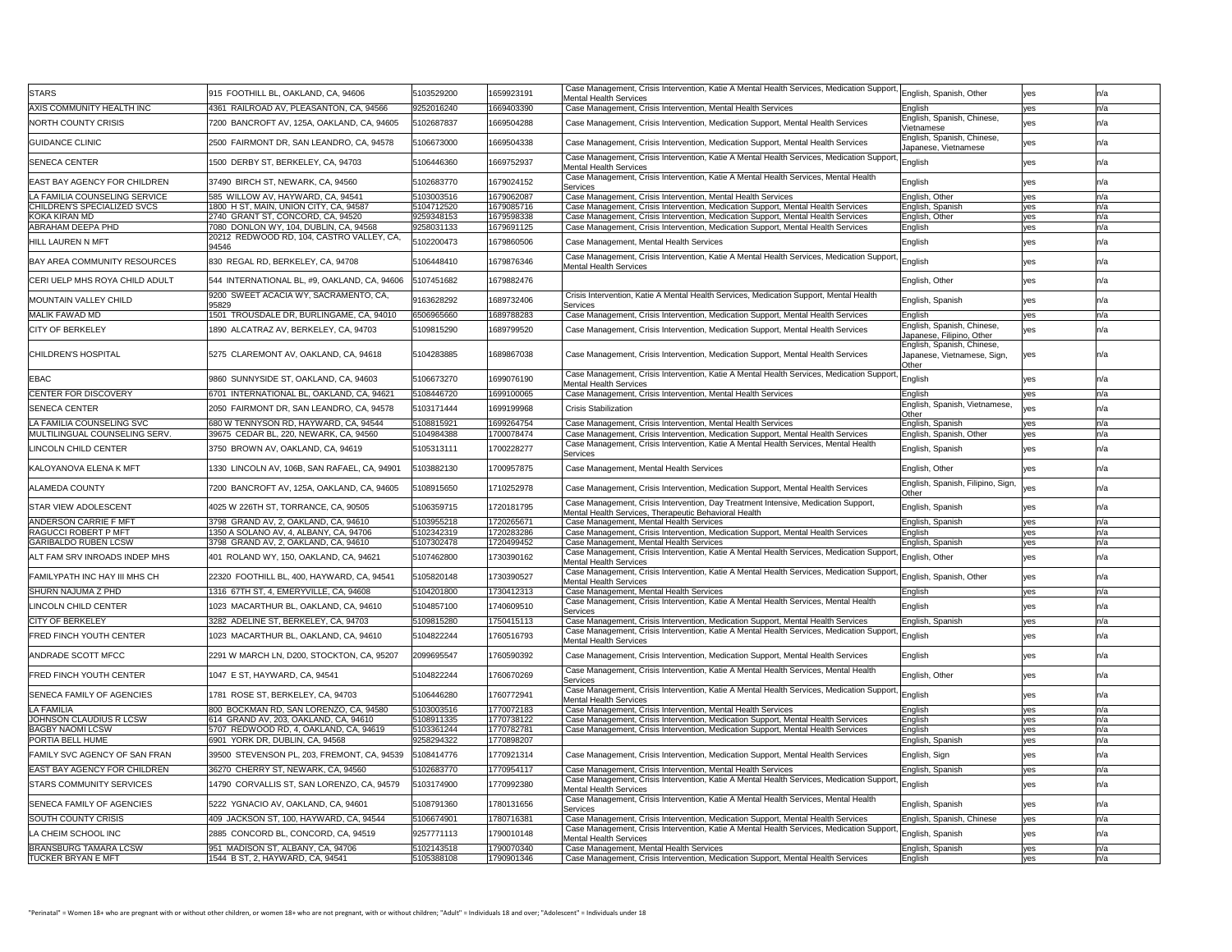| <b>STARS</b>                                               | 915 FOOTHILL BL, OAKLAND, CA, 94606                                            | 5103529200               | 1659923191               | Case Management, Crisis Intervention, Katie A Mental Health Services, Medication Support, English, Spanish, Other<br>Mental Health Services                       |                                                         | yes               |     |
|------------------------------------------------------------|--------------------------------------------------------------------------------|--------------------------|--------------------------|-------------------------------------------------------------------------------------------------------------------------------------------------------------------|---------------------------------------------------------|-------------------|-----|
| <b>AXIS COMMUNITY HEALTH INC</b>                           | 4361 RAILROAD AV, PLEASANTON, CA, 94566                                        | 9252016240               | 1669403390               | Case Management, Crisis Intervention, Mental Health Services                                                                                                      | English                                                 | yes               |     |
| <b>NORTH COUNTY CRISIS</b>                                 | 7200 BANCROFT AV, 125A, OAKLAND, CA, 94605                                     | 5102687837               | 1669504288               | Case Management, Crisis Intervention, Medication Support, Mental Health Services                                                                                  | English, Spanish, Chinese,<br>Vietnamese                |                   |     |
| <b>GUIDANCE CLINIC</b>                                     | 2500 FAIRMONT DR, SAN LEANDRO, CA, 94578                                       | 5106673000               | 1669504338               | Case Management, Crisis Intervention, Medication Support, Mental Health Services                                                                                  | English, Spanish, Chinese,<br>Japanese, Vietnamese      | yes               |     |
| <b>SENECA CENTER</b>                                       | 1500 DERBY ST, BERKELEY, CA, 94703                                             | 5106446360               | 1669752937               | Case Management, Crisis Intervention, Katie A Mental Health Services, Medication Support, English<br>Mental Health Services                                       |                                                         | yes               |     |
| <b>EAST BAY AGENCY FOR CHILDREN</b>                        | 37490 BIRCH ST, NEWARK, CA, 94560                                              | 5102683770               | 1679024152               | Case Management, Crisis Intervention, Katie A Mental Health Services, Mental Health<br>Services                                                                   | English                                                 |                   |     |
| LA FAMILIA COUNSELING SERVICE                              | 585 WILLOW AV, HAYWARD, CA, 94541                                              | 5103003516               | 1679062087               | Case Management, Crisis Intervention, Mental Health Services                                                                                                      | English, Other                                          | <b>ves</b>        |     |
| CHILDREN'S SPECIALIZED SVCS                                | 1800 H ST, MAIN, UNION CITY, CA, 94587                                         | 5104712520               | 1679085716               | Case Management, Crisis Intervention, Medication Support, Mental Health Services                                                                                  | English, Spanish                                        | yes               |     |
| KOKA KIRAN MD                                              | 2740 GRANT ST, CONCORD, CA, 94520                                              | 9259348153               | 1679598338               | Case Management, Crisis Intervention, Medication Support, Mental Health Services                                                                                  | English, Other                                          | yes               |     |
| ABRAHAM DEEPA PHD                                          | 7080 DONLON WY, 104, DUBLIN, CA, 94568                                         | 9258031133               | 1679691125               | Case Management, Crisis Intervention, Medication Support, Mental Health Services                                                                                  | English                                                 | yes               |     |
| <b>HILL LAUREN N MFT</b>                                   | 20212 REDWOOD RD, 104, CASTRO VALLEY, CA,<br>94546                             | 5102200473               | 1679860506               | Case Management, Mental Health Services                                                                                                                           | English                                                 | yes               |     |
| <b>BAY AREA COMMUNITY RESOURCES</b>                        | 830 REGAL RD, BERKELEY, CA, 94708                                              | 5106448410               | 1679876346               | Case Management, Crisis Intervention, Katie A Mental Health Services, Medication Support, English<br><b>Mental Health Services</b>                                |                                                         | ves               |     |
| CERI UELP MHS ROYA CHILD ADULT                             | 544 INTERNATIONAL BL, #9, OAKLAND, CA, 94606                                   | 5107451682               | 1679882476               |                                                                                                                                                                   | English, Other                                          | yes               |     |
| <b>MOUNTAIN VALLEY CHILD</b>                               | 9200 SWEET ACACIA WY, SACRAMENTO, CA,<br>95829                                 | 9163628292               | 1689732406               | Crisis Intervention, Katie A Mental Health Services, Medication Support, Mental Health<br>Services                                                                | English, Spanish                                        | yes               |     |
| <b>MALIK FAWAD MD</b>                                      | TROUSDALE DR, BURLINGAME, CA, 94010                                            | 6506965660               | 1689788283               | Case Management, Crisis Intervention, Medication Support, Mental Health Services                                                                                  | English                                                 | yes               |     |
| <b>CITY OF BERKELEY</b>                                    | 1890 ALCATRAZ AV, BERKELEY, CA, 94703                                          | 5109815290               | 1689799520               | Case Management, Crisis Intervention, Medication Support, Mental Health Services                                                                                  | English, Spanish, Chinese,<br>Japanese, Filipino, Other | yes               |     |
|                                                            |                                                                                |                          |                          |                                                                                                                                                                   | English, Spanish, Chinese,                              |                   |     |
| <b>CHILDREN'S HOSPITAL</b>                                 | 5275 CLAREMONT AV, OAKLAND, CA, 94618                                          | 5104283885               | 1689867038               | Case Management, Crisis Intervention, Medication Support, Mental Health Services                                                                                  | Japanese, Vietnamese, Sign,<br>Other                    | yes               |     |
| <b>EBAC</b>                                                | 9860 SUNNYSIDE ST, OAKLAND, CA, 94603                                          | 5106673270               | 1699076190               | Case Management, Crisis Intervention, Katie A Mental Health Services, Medication Support, English                                                                 |                                                         |                   |     |
|                                                            |                                                                                |                          |                          | Mental Health Services                                                                                                                                            |                                                         | yes               |     |
| <b>CENTER FOR DISCOVERY</b>                                | 6701 INTERNATIONAL BL, OAKLAND, CA, 94621                                      | 5108446720               | 1699100065               | Case Management, Crisis Intervention, Mental Health Services                                                                                                      | English                                                 | <b>ves</b>        |     |
| <b>SENECA CENTER</b>                                       | 2050 FAIRMONT DR, SAN LEANDRO, CA, 94578                                       | 5103171444               | 1699199968               | <b>Crisis Stabilization</b>                                                                                                                                       | English, Spanish, Vietnamese,                           |                   |     |
| LA FAMILIA COUNSELING SVC                                  | 680 W TENNYSON RD, HAYWARD, CA, 94544                                          | 5108815921               | 1699264754               | Case Management, Crisis Intervention, Mental Health Services                                                                                                      | English, Spanish                                        | yes               |     |
| <b>MULTILINGUAL COUNSELING SERV.</b>                       | 39675 CEDAR BL, 220, NEWARK, CA, 94560                                         | 5104984388               | 1700078474               | Case Management, Crisis Intervention, Medication Support, Mental Health Services                                                                                  | English, Spanish, Other                                 | yes               |     |
| <b>LINCOLN CHILD CENTER</b>                                | 3750 BROWN AV, OAKLAND, CA, 94619                                              | 5105313111               | 1700228277               | Case Management, Crisis Intervention, Katie A Mental Health Services, Mental Health                                                                               | English, Spanish                                        | yes               |     |
| <b>KALOYANOVA ELENA K MFT</b>                              | 1330 LINCOLN AV, 106B, SAN RAFAEL, CA, 94901                                   | 5103882130               | 1700957875               | Services <br>Case Management, Mental Health Services                                                                                                              | English, Other                                          | ves               |     |
| <b>ALAMEDA COUNTY</b>                                      | 7200 BANCROFT AV, 125A, OAKLAND, CA, 94605                                     | 5108915650               | 1710252978               | Case Management, Crisis Intervention, Medication Support, Mental Health Services                                                                                  | English, Spanish, Filipino, Sign,                       |                   |     |
|                                                            |                                                                                |                          |                          | Case Management, Crisis Intervention, Day Treatment Intensive, Medication Support,                                                                                | Other                                                   |                   |     |
| <b>STAR VIEW ADOLESCENT</b>                                | 4025 W 226TH ST, TORRANCE, CA, 90505                                           | 5106359715               | 1720181795               | Mental Health Services, Therapeutic Behavioral Health                                                                                                             | English, Spanish                                        | yes               |     |
| <b>ANDERSON CARRIE F MFT</b>                               | 3798 GRAND AV, 2, OAKLAND, CA, 94610                                           | 5103955218               | 1720265671               | Case Management, Mental Health Services                                                                                                                           | English, Spanish                                        | yes               |     |
| <b>RAGUCCI ROBERT P MFT</b><br><b>GARIBALDO RUBEN LCSW</b> | 1350 A SOLANO AV, 4, ALBANY, CA, 94706<br>3798 GRAND AV, 2, OAKLAND, CA, 94610 | 5102342319<br>5107302478 | 1720283286<br>1720499452 | Case Management, Crisis Intervention, Medication Support, Mental Health Services<br>Case Management, Mental Health Services                                       | English<br>English, Spanish                             | <b>yes</b><br>yes |     |
| ALT FAM SRV INROADS INDEP MHS                              | 401 ROLAND WY, 150, OAKLAND, CA, 94621                                         | 5107462800               | 1730390162               | Case Management, Crisis Intervention, Katie A Mental Health Services, Medication Support, English, Other                                                          |                                                         | yes               |     |
| <b>FAMILYPATH INC HAY III MHS CH</b>                       | 22320 FOOTHILL BL, 400, HAYWARD, CA, 94541                                     | 5105820148               | 1730390527               | Mental Health Services<br>Case Management, Crisis Intervention, Katie A Mental Health Services, Medication Support, English, Spanish, Other                       |                                                         | yes               |     |
| <b>SHURN NAJUMA Z PHD</b>                                  | 1316 67TH ST, 4, EMERYVILLE, CA, 94608                                         | 5104201800               | 1730412313               | Mental Health Services<br><b>Case Management, Mental Health Services</b>                                                                                          | English                                                 | yes               |     |
| LINCOLN CHILD CENTER                                       | 1023 MACARTHUR BL, OAKLAND, CA, 94610                                          | 5104857100               | 1740609510               | Case Management, Crisis Intervention, Katie A Mental Health Services, Mental Health                                                                               | English                                                 |                   |     |
| <b>CITY OF BERKELEY</b>                                    | 3282 ADELINE ST, BERKELEY, CA, 94703                                           | 5109815280               | 1750415113               | Services<br>Case Management, Crisis Intervention, Medication Support, Mental Health Services                                                                      | English, Spanish                                        |                   |     |
|                                                            |                                                                                |                          |                          | Case Management, Crisis Intervention, Katie A Mental Health Services, Medication Support, English                                                                 |                                                         | <b>yes</b>        |     |
| <b>FRED FINCH YOUTH CENTER</b>                             | 1023 MACARTHUR BL, OAKLAND, CA, 94610                                          | 5104822244               | 1760516793               | Mental Health Services                                                                                                                                            |                                                         | ves               |     |
| <b>ANDRADE SCOTT MFCC</b>                                  | 2291 W MARCH LN, D200, STOCKTON, CA, 95207                                     | 2099695547               | 1760590392               | Case Management, Crisis Intervention, Medication Support, Mental Health Services                                                                                  | English                                                 |                   |     |
| <b>FRED FINCH YOUTH CENTER</b>                             | 1047 E ST, HAYWARD, CA, 94541                                                  | 5104822244               | 1760670269               | Case Management, Crisis Intervention, Katie A Mental Health Services, Mental Health<br>Services                                                                   | English, Other                                          | yes               |     |
| <b>SENECA FAMILY OF AGENCIES</b>                           | 1781 ROSE ST, BERKELEY, CA, 94703                                              | 5106446280               | 1760772941               | Case Management, Crisis Intervention, Katie A Mental Health Services, Medication Support, English<br>Mental Health Services                                       |                                                         | ves               |     |
| <b>LA FAMILIA</b>                                          | 800 BOCKMAN RD, SAN LORENZO, CA, 94580                                         | 5103003516               | 1770072183               | Case Management, Crisis Intervention, Mental Health Services                                                                                                      | English                                                 | yes               |     |
| <b>JOHNSON CLAUDIUS R LCSW</b>                             | 614 GRAND AV, 203, OAKLAND, CA, 94610                                          | 5108911335               | 1770738122               | Case Management, Crisis Intervention, Medication Support, Mental Health Services                                                                                  | <b>English</b>                                          | <b>ves</b>        |     |
| <b>BAGBY NAOMI LCSW</b><br><b>PORTIA BELL HUME</b>         | 5707 REDWOOD RD, 4, OAKLAND, CA, 94619<br>6901 YORK DR, DUBLIN, CA, 94568      | 5103361244<br>9258294322 | 1770782781<br>1770898207 | Case Management, Crisis Intervention, Medication Support, Mental Health Services                                                                                  | English<br>English, Spanish                             | <b>yes</b><br>yes |     |
| <b>FAMILY SVC AGENCY OF SAN FRAN</b>                       |                                                                                |                          |                          |                                                                                                                                                                   |                                                         |                   |     |
|                                                            | 39500 STEVENSON PL, 203, FREMONT, CA, 94539                                    | 5108414776               | 1770921314               | Case Management, Crisis Intervention, Medication Support, Mental Health Services                                                                                  | English, Sign                                           |                   |     |
| <b>EAST BAY AGENCY FOR CHILDREN</b>                        | 36270 CHERRY ST, NEWARK, CA, 94560                                             | 5102683770               | 1770954117               | Case Management, Crisis Intervention, Mental Health Services<br>Case Management, Crisis Intervention, Katie A Mental Health Services, Medication Support, English | English, Spanish                                        |                   |     |
| <b>STARS COMMUNITY SERVICES</b>                            | 14790  CORVALLIS ST, SAN LORENZO, CA, 94579                                    | 5103174900               | 1770992380               | <b>Mental Health Services</b><br>Case Management, Crisis Intervention, Katie A Mental Health Services, Mental Health                                              |                                                         | yes               |     |
| <b>SENECA FAMILY OF AGENCIES</b>                           | 5222 YGNACIO AV, OAKLAND, CA, 94601                                            | 5108791360               | 1780131656               | Services                                                                                                                                                          | English, Spanish                                        | yes               |     |
| <b>SOUTH COUNTY CRISIS</b>                                 | 409 JACKSON ST, 100, HAYWARD, CA, 94544                                        | 5106674901               | 1780716381               | Case Management, Crisis Intervention, Medication Support, Mental Health Services                                                                                  | English, Spanish, Chinese                               | yes               | n/a |
| LA CHEIM SCHOOL INC                                        | 2885 CONCORD BL, CONCORD, CA, 94519                                            | 9257771113               | 1790010148               | Case Management, Crisis Intervention, Katie A Mental Health Services, Medication Support<br>Mental Health Services                                                | English, Spanish                                        | yes               |     |
| <b>BRANSBURG TAMARA LCSW</b>                               | 951 MADISON ST, ALBANY, CA, 94706                                              | 5102143518               | 1790070340               | Case Management, Mental Health Services                                                                                                                           | English, Spanish                                        | yes               |     |
| <b>TUCKER BRYAN E MFT</b>                                  | 1544 B ST, 2, HAYWARD, CA, 94541                                               | 5105388108               | 1790901346               | Case Management, Crisis Intervention, Medication Support, Mental Health Services                                                                                  | English                                                 | yes               | n/a |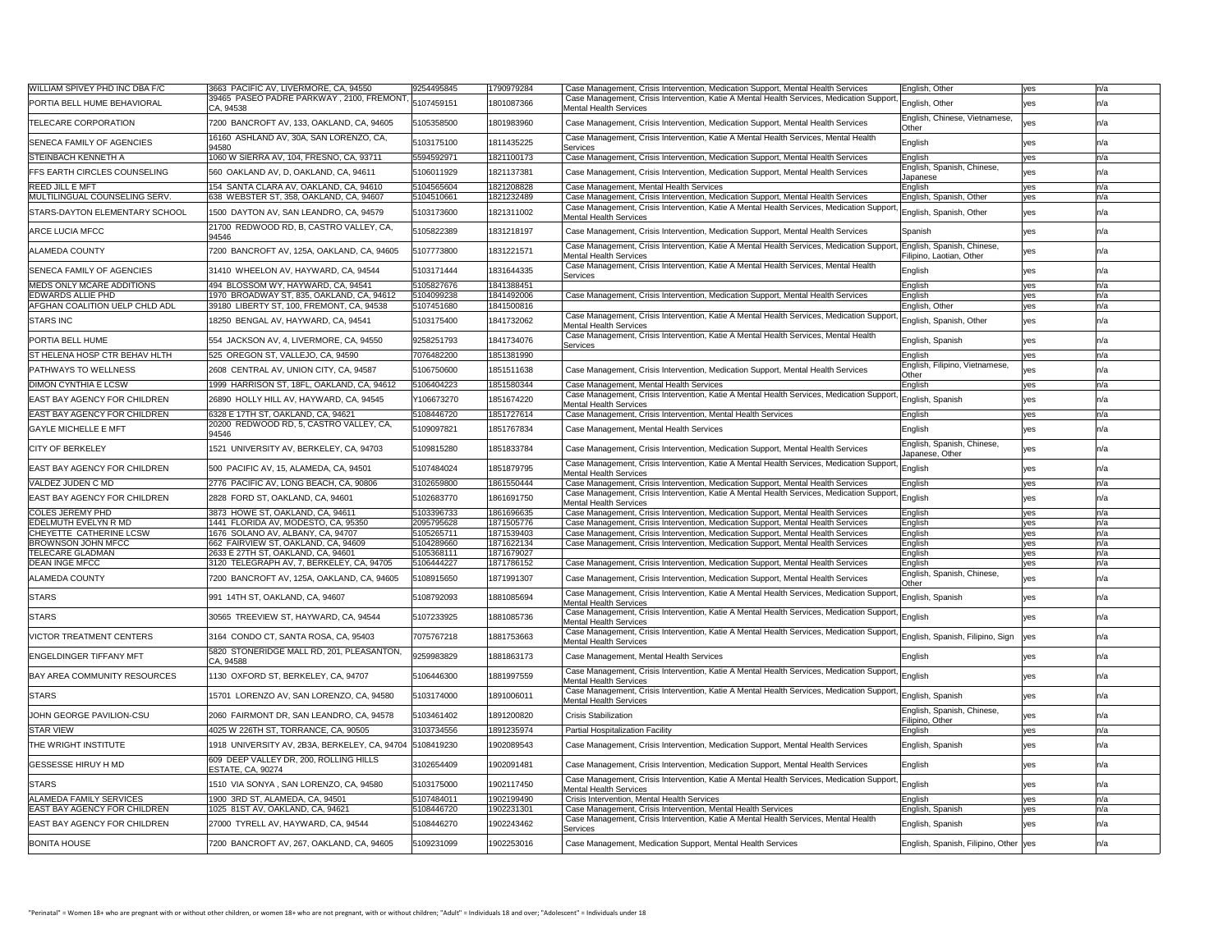| <b>WILLIAM SPIVEY PHD INC DBA F/C</b>                | 3663 PACIFIC AV, LIVERMORE, CA, 94550                                             | 9254495845               | 1790979284               | Case Management, Crisis Intervention, Medication Support, Mental Health Services                                                                                                                                                   | English, Other                                         | yes        | n/a |
|------------------------------------------------------|-----------------------------------------------------------------------------------|--------------------------|--------------------------|------------------------------------------------------------------------------------------------------------------------------------------------------------------------------------------------------------------------------------|--------------------------------------------------------|------------|-----|
| <b>PORTIA BELL HUME BEHAVIORAL</b>                   | 39465 PASEO PADRE PARKWAY, 2100, FREMONT,<br> CA, 94538                           | 5107459151               | 1801087366               | Case Management, Crisis Intervention, Katie A Mental Health Services, Medication Support,<br><b>Mental Health Services</b>                                                                                                         | English, Other                                         | yes        |     |
| <b>TELECARE CORPORATION</b>                          | 7200 BANCROFT AV, 133, OAKLAND, CA, 94605                                         | 5105358500               | 1801983960               | Case Management, Crisis Intervention, Medication Support, Mental Health Services                                                                                                                                                   | English, Chinese, Vietnamese,<br>Other                 |            |     |
| <b>SENECA FAMILY OF AGENCIES</b>                     | 16160 ASHLAND AV, 30A, SAN LORENZO, CA,<br>94580                                  | 5103175100               | 1811435225               | Case Management, Crisis Intervention, Katie A Mental Health Services, Mental Health<br>Services                                                                                                                                    | English                                                | ves        |     |
| <b>STEINBACH KENNETH A</b>                           | 1060 W SIERRA AV, 104, FRESNO, CA, 93711                                          | 5594592971               | 1821100173               | Case Management, Crisis Intervention, Medication Support, Mental Health Services                                                                                                                                                   | English                                                | yes        |     |
| <b>FFS EARTH CIRCLES COUNSELING</b>                  | 560 OAKLAND AV, D, OAKLAND, CA, 94611                                             | 5106011929               | 1821137381               | Case Management, Crisis Intervention, Medication Support, Mental Health Services                                                                                                                                                   | English, Spanish, Chinese,<br><b>Japanese</b>          |            |     |
| <b>REED JILL E MFT</b>                               | 154 SANTA CLARA AV, OAKLAND, CA, 94610                                            | 5104565604               | 1821208828               | Case Management, Mental Health Services                                                                                                                                                                                            | English                                                | yes        |     |
| MULTILINGUAL COUNSELING SERV.                        | 638 WEBSTER ST, 358, OAKLAND, CA, 94607                                           | 5104510661               | 1821232489               | Case Management, Crisis Intervention, Medication Support, Mental Health Services<br>Case Management, Crisis Intervention, Katie A Mental Health Services, Medication Support                                                       | English, Spanish, Other                                | yes        |     |
| <b>STARS-DAYTON ELEMENTARY SCHOOL</b>                | 1500 DAYTON AV, SAN LEANDRO, CA, 94579<br>21700 REDWOOD RD, B, CASTRO VALLEY, CA, | 5103173600               | 1821311002               | <b>Mental Health Services</b>                                                                                                                                                                                                      | English, Spanish, Other                                | yes        |     |
| <b>ARCE LUCIA MFCC</b>                               | 94546                                                                             | 5105822389               | 1831218197               | Case Management, Crisis Intervention, Medication Support, Mental Health Services                                                                                                                                                   | Spanish                                                | yes        |     |
| <b>ALAMEDA COUNTY</b>                                | 7200 BANCROFT AV, 125A, OAKLAND, CA, 94605                                        | 5107773800               | 1831221571               | Case Management, Crisis Intervention, Katie A Mental Health Services, Medication Support,<br>Mental Health Services                                                                                                                | English, Spanish, Chinese,<br>Filipino, Laotian, Other | yes        |     |
| SENECA FAMILY OF AGENCIES                            | 31410 WHEELON AV, HAYWARD, CA, 94544                                              | 5103171444               | 1831644335               | Case Management, Crisis Intervention, Katie A Mental Health Services, Mental Health<br>Services                                                                                                                                    | English                                                | yes        |     |
| MEDS ONLY MCARE ADDITIONS                            | 494 BLOSSOM WY, HAYWARD, CA, 94541                                                | 5105827676               | 1841388451               |                                                                                                                                                                                                                                    | <b>English</b>                                         | yes        |     |
| EDWARDS ALLIE PHD                                    | 1970 BROADWAY ST, 835, OAKLAND, CA, 94612                                         | 5104099238               | 1841492006               | Case Management, Crisis Intervention, Medication Support, Mental Health Services                                                                                                                                                   | English                                                | yes        |     |
| <b>AFGHAN COALITION UELP CHLD ADL</b>                | 39180 LIBERTY ST, 100, FREMONT, CA, 94538                                         | 5107451680               | 1841500816               |                                                                                                                                                                                                                                    | English, Other                                         | yes        |     |
| <b>STARS INC</b>                                     | 18250 BENGAL AV, HAYWARD, CA, 94541                                               | 5103175400               | 1841732062               | Case Management, Crisis Intervention, Katie A Mental Health Services, Medication Support, English, Spanish, Other<br>Mental Health Services<br>Case Management, Crisis Intervention, Katie A Mental Health Services, Mental Health |                                                        | yes        |     |
| <b>PORTIA BELL HUME</b>                              | 554 JACKSON AV, 4, LIVERMORE, CA, 94550                                           | 9258251793               | 1841734076               | Services                                                                                                                                                                                                                           | English, Spanish                                       | <b>yes</b> |     |
| <b>ST HELENA HOSP CTR BEHAV HLTH</b>                 | 525 OREGON ST, VALLEJO, CA, 94590                                                 | 7076482200               | 1851381990               |                                                                                                                                                                                                                                    | English                                                | <b>ves</b> |     |
| <b>PATHWAYS TO WELLNESS</b>                          | 2608 CENTRAL AV, UNION CITY, CA, 94587                                            | 5106750600               | 1851511638               | Case Management, Crisis Intervention, Medication Support, Mental Health Services                                                                                                                                                   | English, Filipino, Vietnamese,<br>Other                |            |     |
| <b>DIMON CYNTHIA E LCSW</b>                          | 1999 HARRISON ST, 18FL, OAKLAND, CA, 94612                                        | 5106404223               | 1851580344               | Case Management, Mental Health Services                                                                                                                                                                                            | English                                                | yes        | n/a |
| <b>EAST BAY AGENCY FOR CHILDREN</b>                  | 26890 HOLLY HILL AV, HAYWARD, CA, 94545                                           | Y106673270               | 1851674220               | Case Management, Crisis Intervention, Katie A Mental Health Services, Medication Support,<br>Mental Health Services                                                                                                                | ' English, Spanish                                     | yes        |     |
| <b>EAST BAY AGENCY FOR CHILDREN</b>                  | 6328 E 17TH ST, OAKLAND, CA, 94621                                                | 5108446720               | 1851727614               | Case Management, Crisis Intervention, Mental Health Services                                                                                                                                                                       | English_                                               | yes        |     |
| <b>GAYLE MICHELLE E MFT</b>                          | 20200 REDWOOD RD, 5, CASTRO VALLEY, CA<br> 94546                                  | 5109097821               | 1851767834               | Case Management, Mental Health Services                                                                                                                                                                                            | English                                                |            |     |
| <b>CITY OF BERKELEY</b>                              | 1521 UNIVERSITY AV, BERKELEY, CA, 94703                                           | 5109815280               | 1851833784               | Case Management, Crisis Intervention, Medication Support, Mental Health Services                                                                                                                                                   | English, Spanish, Chinese,<br>Japanese, Other          |            |     |
| <b>EAST BAY AGENCY FOR CHILDREN</b>                  | 500 PACIFIC AV, 15, ALAMEDA, CA, 94501                                            | 5107484024               | 1851879795               | Case Management, Crisis Intervention, Katie A Mental Health Services, Medication Support, English<br><b>Mental Health Services</b>                                                                                                 |                                                        |            |     |
| VALDEZ JUDEN C MD                                    | 2776 PACIFIC AV, LONG BEACH, CA, 90806                                            | 3102659800               | 1861550444               | Case Management, Crisis Intervention, Medication Support, Mental Health Services                                                                                                                                                   | English                                                | yes        |     |
| <b>EAST BAY AGENCY FOR CHILDREN</b>                  | 2828 FORD ST, OAKLAND, CA, 94601                                                  | 5102683770               | 1861691750               | Case Management, Crisis Intervention, Katie A Mental Health Services, Medication Support, English<br>Mental Health Services                                                                                                        |                                                        | ves        |     |
| <b>COLES JEREMY PHD</b>                              | 3873 HOWE ST, OAKLAND, CA, 94611                                                  | 5103396733               | 1861696635               | Case Management, Crisis Intervention, Medication Support, Mental Health Services                                                                                                                                                   | English                                                | yes        |     |
| <b>EDELMUTH EVELYN R MD</b>                          | 1441 FLORIDA AV, MODESTO, CA, 95350                                               | 2095795628               | 1871505776               | Case Management, Crisis Intervention, Medication Support, Mental Health Services                                                                                                                                                   | English                                                | yes        |     |
| CHEYETTE CATHERINE LCSW<br><b>BROWNSON JOHN MFCC</b> | 1676  SOLANO AV, ALBANY, CA, 94707<br>662 FAIRVIEW ST, OAKLAND, CA, 94609         | 5105265711<br>5104289660 | 1871539403               | Case Management, Crisis Intervention, Medication Support, Mental Health Services                                                                                                                                                   | English                                                | yes        |     |
| <b>TELECARE GLADMAN</b>                              | 2633 E 27TH ST, OAKLAND, CA, 94601                                                | 5105368111               | 1871622134<br>1871679027 | Case Management, Crisis Intervention, Medication Support, Mental Health Services                                                                                                                                                   | English                                                | ves        |     |
| <b>DEAN INGE MFCC</b>                                | 3120 TELEGRAPH AV, 7, BERKELEY, CA, 94705                                         | 5106444227               | 1871786152               | Case Management, Crisis Intervention, Medication Support, Mental Health Services                                                                                                                                                   | <b>English</b><br>English                              | yes<br>yes |     |
| <b>ALAMEDA COUNTY</b>                                | 7200 BANCROFT AV, 125A, OAKLAND, CA, 94605                                        | 5108915650               | 1871991307               | Case Management, Crisis Intervention, Medication Support, Mental Health Services                                                                                                                                                   | English, Spanish, Chinese,<br>Other                    | yes        |     |
| <b>STARS</b>                                         | 991 14TH ST, OAKLAND, CA, 94607                                                   | 5108792093               | 1881085694               | Case Management, Crisis Intervention, Katie A Mental Health Services, Medication Support, English, Spanish                                                                                                                         |                                                        | yes        |     |
| <b>STARS</b>                                         | 30565 TREEVIEW ST, HAYWARD, CA, 94544                                             | 5107233925               | 1881085736               | Mental Health Services<br>Case Management, Crisis Intervention, Katie A Mental Health Services, Medication Support, English                                                                                                        |                                                        |            |     |
| VICTOR TREATMENT CENTERS                             | 3164 CONDO CT, SANTA ROSA, CA, 95403                                              | 7075767218               | 1881753663               | Mental Health Services<br>Case Management, Crisis Intervention, Katie A Mental Health Services, Medication Support, English, Spanish, Filipino, Sign Ves                                                                           |                                                        |            |     |
| <b>ENGELDINGER TIFFANY MFT</b>                       | 5820 STONERIDGE MALL RD, 201, PLEASANTON,                                         | 9259983829               | 1881863173               | <b>Mental Health Services</b><br>Case Management, Mental Health Services                                                                                                                                                           | English                                                | yes        |     |
|                                                      | CA, 94588                                                                         |                          |                          | Case Management, Crisis Intervention, Katie A Mental Health Services, Medication Support, English                                                                                                                                  |                                                        |            |     |
| <b>BAY AREA COMMUNITY RESOURCES</b>                  | 1130 OXFORD ST, BERKELEY, CA, 94707                                               | 5106446300               | 1881997559               | <b>Mental Health Services</b><br>Case Management, Crisis Intervention, Katie A Mental Health Services, Medication Support, English, Spanish                                                                                        |                                                        | yes        |     |
| <b>STARS</b>                                         | 15701 LORENZO AV, SAN LORENZO, CA, 94580                                          | 5103174000               | 1891006011               | <b>Mental Health Services</b>                                                                                                                                                                                                      | English, Spanish, Chinese,                             | yes        |     |
| JOHN GEORGE PAVILION-CSU                             | 2060 FAIRMONT DR, SAN LEANDRO, CA, 94578                                          | 5103461402               | 1891200820               | <b>Crisis Stabilization</b>                                                                                                                                                                                                        | Filipino, Other                                        |            |     |
| <b>STAR VIEW</b>                                     | 4025 W 226TH ST, TORRANCE, CA, 90505                                              | 3103734556               | 1891235974               | <b>Partial Hospitalization Facility</b>                                                                                                                                                                                            | English                                                | yes        |     |
| <b>THE WRIGHT INSTITUTE</b>                          | 1918 UNIVERSITY AV, 2B3A, BERKELEY, CA, 94704  5108419230                         |                          | 1902089543               | Case Management, Crisis Intervention, Medication Support, Mental Health Services                                                                                                                                                   | English, Spanish                                       | yes        |     |
| <b>GESSESSE HIRUY H MD</b>                           | 609 DEEP VALLEY DR, 200, ROLLING HILLS<br><b>ESTATE, CA, 90274</b>                | 3102654409               | 1902091481               | Case Management, Crisis Intervention, Medication Support, Mental Health Services                                                                                                                                                   | English                                                | <b>yes</b> |     |
| <b>STARS</b>                                         | 1510 VIA SONYA , SAN LORENZO, CA, 94580                                           | 5103175000               | 1902117450               | Case Management, Crisis Intervention, Katie A Mental Health Services, Medication Support, English<br>Mental Health Services                                                                                                        |                                                        | yes        |     |
| <b>ALAMEDA FAMILY SERVICES</b>                       | 1900  3RD ST, ALAMEDA, CA, 94501                                                  | 5107484011               | 1902199490               | <b>Crisis Intervention, Mental Health Services</b>                                                                                                                                                                                 | <b>English</b>                                         | yes        |     |
| <b>EAST BAY AGENCY FOR CHILDREN</b>                  | 1025 81ST AV, OAKLAND, CA, 94621                                                  | 5108446720               | 1902231301               | Case Management, Crisis Intervention, Mental Health Services                                                                                                                                                                       | English, Spanish                                       | yes        |     |
| <b>EAST BAY AGENCY FOR CHILDREN</b>                  | 27000 TYRELL AV, HAYWARD, CA, 94544                                               | 5108446270               | 1902243462               | Case Management, Crisis Intervention, Katie A Mental Health Services, Mental Health<br>Services                                                                                                                                    | English, Spanish                                       | yes        |     |
| <b>BONITA HOUSE</b>                                  | 7200 BANCROFT AV, 267, OAKLAND, CA, 94605                                         | 5109231099               | 1902253016               | Case Management, Medication Support, Mental Health Services                                                                                                                                                                        | English, Spanish, Filipino, Other  yes                 |            |     |